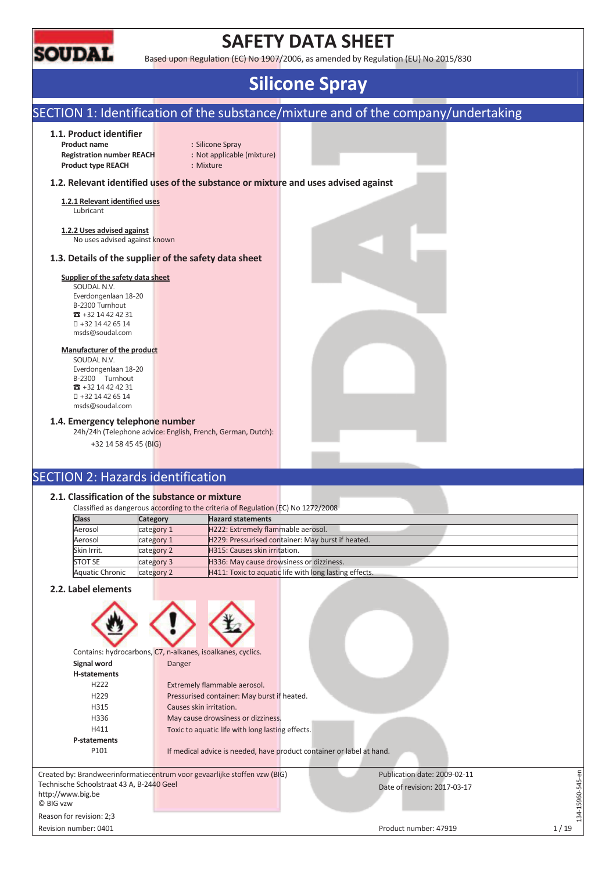

# **SAFETY DATA SHEET**

Based upon Regulation (EC) No 1907/2006, as amended by Regulation (EU) No 2015/830

# **Silicone Spray**

# SECTION 1: Identification of the substance/mixture and of the company/undertaking

#### **1.1. Product identifier**

**Product name :** Silicone Spray **Registration number REACH :** Not applicable (mixture) **Product type REACH :** Mixture

### **1.2. Relevant identified uses of the substance or mixture and uses advised against**

**1.2.1 Relevant identified uses**  Lubricant

**1.2.2 Uses advised against**  No uses advised against known

### **1.3. Details of the supplier of the safety data sheet**

### **Supplier of the safety data sheet**

SOUDAL N.V. Everdongenlaan 18-20 B-2300 Turnhout  $\pi$  +32 14 42 42 31 +32 14 42 65 14 msds@soudal.com

#### **Manufacturer of the product**

SOUDAL N.V. Everdongenlaan 18-20 B-2300 Turnhout  $\overline{3}$  +32 14 42 42 31 +32 14 42 65 14 msds@soudal.com

#### **1.4. Emergency telephone number**

24h/24h (Telephone advice: English, French, German, Dutch):

+32 14 58 45 45 (BIG)

# SECTION 2: Hazards identification

### **2.1. Classification of the substance or mixture**

|                 |            | Classified as dangerous according to the criteria of Regulation (EC) No 1272/2008 |
|-----------------|------------|-----------------------------------------------------------------------------------|
| <b>Class</b>    | Category   | <b>Hazard statements</b>                                                          |
| Aerosol         | category 1 | H222: Extremely flammable aerosol.                                                |
| Aerosol         | category 1 | H229: Pressurised container: May burst if heated.                                 |
| Skin Irrit.     | category 2 | H315: Causes skin irritation.                                                     |
| <b>STOT SE</b>  | category 3 | H336: May cause drowsiness or dizziness.                                          |
| Aquatic Chronic | category 2 | H411: Toxic to aquatic life with long lasting effects.                            |
|                 |            |                                                                                   |

### **2.2. Label elements**

Reason for revision: 2;3



- H336 May cause drowsiness or dizziness.
- H411 Toxic to aquatic life with long lasting effects. **P-statements**

P101 If medical advice is needed, have product container or label at hand.

Created by: Brandweerinformatiecentrum voor gevaarlijke stoffen vzw (BIG) Technische Schoolstraat 43 A, B-2440 Geel http://www.big.be © BIG vzw

Publication date: 2009-02-11 Date of revision: 2017-03-17

134-15960-545-en

34-15960-545-en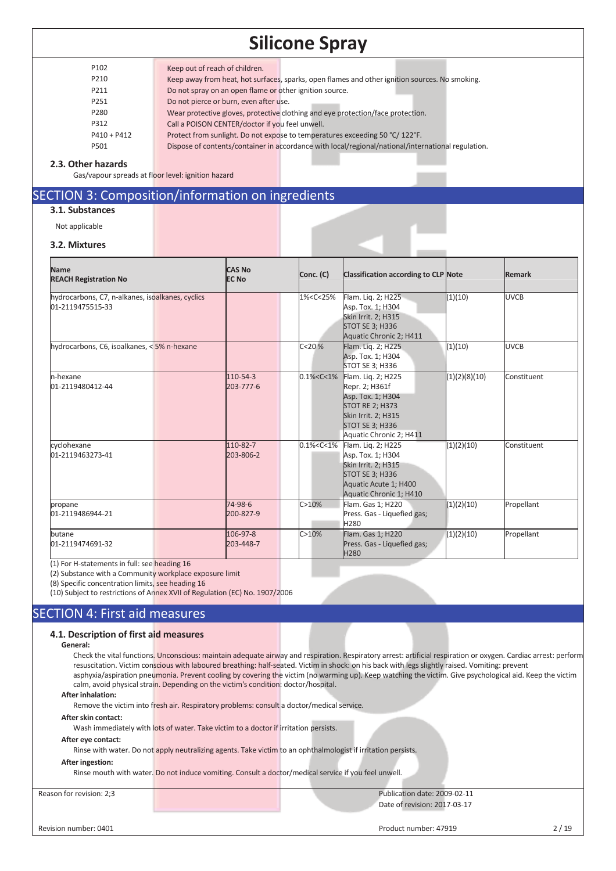| P <sub>102</sub> | Keep out of reach of children.                                                                     |
|------------------|----------------------------------------------------------------------------------------------------|
| P210             | Keep away from heat, hot surfaces, sparks, open flames and other ignition sources. No smoking.     |
| P211             | Do not spray on an open flame or other ignition source.                                            |
| P251             | Do not pierce or burn, even after use.                                                             |
| P280             | Wear protective gloves, protective clothing and eye protection/face protection.                    |
| P312             | Call a POISON CENTER/doctor if you feel unwell.                                                    |
| $P410 + P412$    | Protect from sunlight. Do not expose to temperatures exceeding 50 °C/122°F.                        |
| P501             | Dispose of contents/container in accordance with local/regional/national/international regulation. |
|                  |                                                                                                    |

#### **2.3. Other hazards**

Gas/vapour spreads at floor level: ignition hazard

# SECTION 3: Composition/information on ingredients

# **3.1. Substances**

Not applicable

| 3.2. Mixtures                                                        |  |                               |                                                                                                                                                                                                                |             |                                                                                                                                                                 |               |               |
|----------------------------------------------------------------------|--|-------------------------------|----------------------------------------------------------------------------------------------------------------------------------------------------------------------------------------------------------------|-------------|-----------------------------------------------------------------------------------------------------------------------------------------------------------------|---------------|---------------|
| <b>Name</b><br><b>REACH Registration No</b>                          |  | <b>CAS No</b><br><b>EC No</b> | Conc. (C)                                                                                                                                                                                                      |             | <b>Classification according to CLP Note</b>                                                                                                                     |               | <b>Remark</b> |
| hydrocarbons, C7, n-alkanes, isoalkanes, cyclics<br>01-2119475515-33 |  |                               | 1% <c<25%< td=""><td></td><td>Flam. Lig. 2; H225<br/>Asp. Tox. 1; H304<br/><b>Skin Irrit. 2; H315</b><br/><b>STOT SE 3; H336</b><br/>Aquatic Chronic 2; H411</td><td>(1)(10)</td><td><b>UVCB</b></td></c<25%<> |             | Flam. Lig. 2; H225<br>Asp. Tox. 1; H304<br><b>Skin Irrit. 2; H315</b><br><b>STOT SE 3; H336</b><br>Aquatic Chronic 2; H411                                      | (1)(10)       | <b>UVCB</b>   |
| hydrocarbons, C6, isoalkanes, < 5% n-hexane                          |  |                               | C < 20%                                                                                                                                                                                                        |             | Flam. Lig. 2; H225<br>Asp. Tox. 1; H304<br>STOT SE 3; H336                                                                                                      | (1)(10)       | <b>UVCB</b>   |
| n-hexane<br>01-2119480412-44                                         |  | 110-54-3<br>203-777-6         | $0.1\% < C < 1\%$                                                                                                                                                                                              |             | Flam. Lig. 2; H225<br>Repr. 2; H361f<br>Asp. Tox. 1; H304<br><b>STOT RE 2; H373</b><br>Skin Irrit. 2; H315<br><b>STOT SE 3; H336</b><br>Aquatic Chronic 2; H411 | (1)(2)(8)(10) | Constituent   |
| cyclohexane<br>01-2119463273-41                                      |  | 110-82-7<br>203-806-2         | $0.1\% < C < 1\%$                                                                                                                                                                                              |             | Flam. Lig. 2; H225<br>Asp. Tox. 1; H304<br><b>Skin Irrit. 2; H315</b><br><b>STOT SE 3; H336</b><br>Aquatic Acute 1; H400<br>Aquatic Chronic 1; H410             | (1)(2)(10)    | Constituent   |
| propane<br>01-2119486944-21                                          |  | 74-98-6<br>200-827-9          | C > 10%                                                                                                                                                                                                        | H280        | Flam. Gas 1; H220<br>Press. Gas - Liquefied gas;                                                                                                                | (1)(2)(10)    | Propellant    |
| butane<br>01-2119474691-32                                           |  | 106-97-8<br>203-448-7         | C > 10%                                                                                                                                                                                                        | <b>H280</b> | Flam. Gas 1; H220<br>Press. Gas - Liquefied gas;                                                                                                                | (1)(2)(10)    | Propellant    |

(1) For H-statements in full: see heading 16

(2) Substance with a Community workplace exposure limit

(8) Specific concentration limits, see heading 16

(10) Subject to restrictions of Annex XVII of Regulation (EC) No. 1907/2006

## SECTION 4: First aid measures

#### **4.1. Description of first aid measures**

### **General:**

Check the vital functions. Unconscious: maintain adequate airway and respiration. Respiratory arrest: artificial respiration or oxygen. Cardiac arrest: perform resuscitation. Victim conscious with laboured breathing: half-seated. Victim in shock: on his back with legs slightly raised. Vomiting: prevent asphyxia/aspiration pneumonia. Prevent cooling by covering the victim (no warming up). Keep watching the victim. Give psychological aid. Keep the victim calm, avoid physical strain. Depending on the victim's condition: doctor/hospital.

### **After inhalation:**

Remove the victim into fresh air. Respiratory problems: consult a doctor/medical service.

#### **After skin contact:**

Wash immediately with lots of water. Take victim to a doctor if irritation persists.

#### **After eye contact:**

Rinse with water. Do not apply neutralizing agents. Take victim to an ophthalmologist if irritation persists.

#### **After ingestion:**

Rinse mouth with water. Do not induce vomiting. Consult a doctor/medical service if you feel unwell.

Reason for revision: 2;3 Publication date: 2009-02-11 Date of revision: 2017-03-17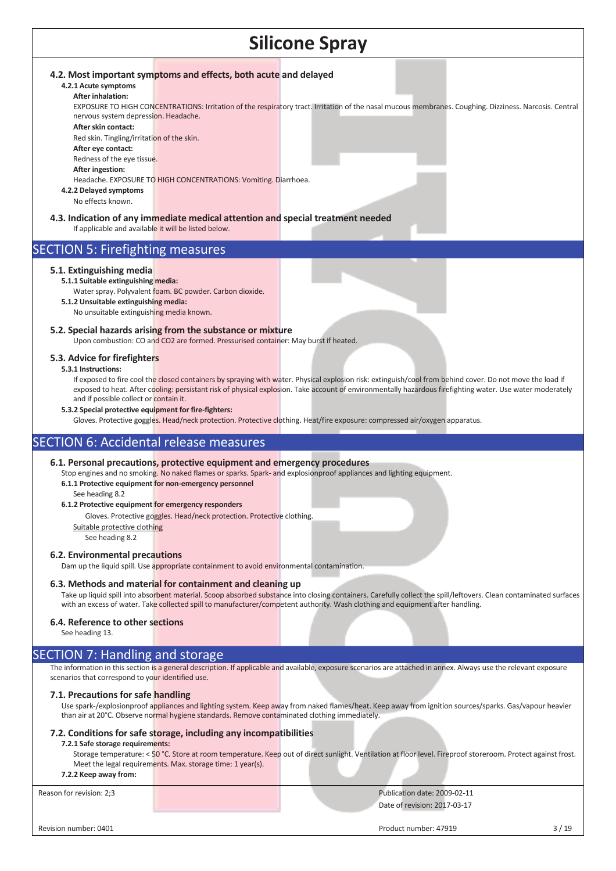#### **4.2. Most important symptoms and effects, both acute and delayed**

#### **4.2.1 Acute symptoms After inhalation:**

EXPOSURE TO HIGH CONCENTRATIONS: Irritation of the respiratory tract. Irritation of the nasal mucous membranes. Coughing. Dizziness. Narcosis. Central nervous system depression. Headache.

### **After skin contact:**

Red skin. Tingling/irritation of the skin. **After eye contact:** 

Redness of the eye tissue.

**After ingestion:** 

## Headache. EXPOSURE TO HIGH CONCENTRATIONS: Vomiting. Diarrhoea.

**4.2.2 Delayed symptoms**  No effects known.

**4.3. Indication of any immediate medical attention and special treatment needed** If applicable and available it will be listed below.

# SECTION 5: Firefighting measures

### **5.1. Extinguishing media**

- **5.1.1 Suitable extinguishing media:** 
	- Water spray. Polyvalent foam. BC powder. Carbon dioxide.
- **5.1.2 Unsuitable extinguishing media:**

No unsuitable extinguishing media known.

# **5.2. Special hazards arising from the substance or mixture**

Upon combustion: CO and CO2 are formed. Pressurised container: May burst if heated.

### **5.3. Advice for firefighters**

#### **5.3.1 Instructions:**

If exposed to fire cool the closed containers by spraying with water. Physical explosion risk: extinguish/cool from behind cover. Do not move the load if exposed to heat. After cooling: persistant risk of physical explosion. Take account of environmentally hazardous firefighting water. Use water moderately and if possible collect or contain it.

#### **5.3.2 Special protective equipment for fire-fighters:**

Gloves. Protective goggles. Head/neck protection. Protective clothing. Heat/fire exposure: compressed air/oxygen apparatus.

## SECTION 6: Accidental release measures

#### **6.1. Personal precautions, protective equipment and emergency procedures**

Stop engines and no smoking. No naked flames or sparks. Spark- and explosionproof appliances and lighting equipment.

#### **6.1.1 Protective equipment for non-emergency personnel**

See heading 8.2

### **6.1.2 Protective equipment for emergency responders**

Gloves. Protective goggles. Head/neck protection. Protective clothing.

Suitable protective clothing

See heading 8.2

### **6.2. Environmental precautions**

Dam up the liquid spill. Use appropriate containment to avoid environmental contamination.

### **6.3. Methods and material for containment and cleaning up**

Take up liquid spill into absorbent material. Scoop absorbed substance into closing containers. Carefully collect the spill/leftovers. Clean contaminated surfaces with an excess of water. Take collected spill to manufacturer/competent authority. Wash clothing and equipment after handling.

### **6.4. Reference to other sections**

See heading 13.

# SECTION 7: Handling and storage

The information in this section is a general description. If applicable and available, exposure scenarios are attached in annex. Always use the relevant exposure scenarios that correspond to your identified use.

## **7.1. Precautions for safe handling**

Use spark-/explosionproof appliances and lighting system. Keep away from naked flames/heat. Keep away from ignition sources/sparks. Gas/vapour heavier than air at 20°C. Observe normal hygiene standards. Remove contaminated clothing immediately.

## **7.2. Conditions for safe storage, including any incompatibilities**

### **7.2.1 Safe storage requirements:**

Storage temperature: < 50 °C. Store at room temperature. Keep out of direct sunlight. Ventilation at floor level. Fireproof storeroom. Protect against frost. Meet the legal requirements. Max. storage time: 1 year(s).

**7.2.2 Keep away from:** 

Reason for revision: 2;3 Publication date: 2009-02-11 Date of revision: 2017-03-17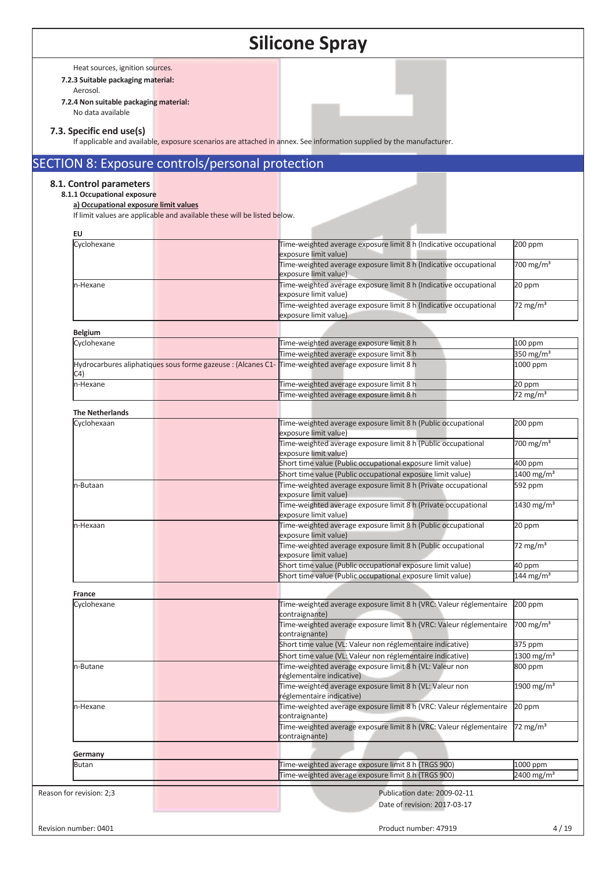Heat sources, ignition sources.

**7.2.3 Suitable packaging material:** 

Aerosol.

**7.2.4 Non suitable packaging material:** No data available

#### **7.3. Specific end use(s)**

If applicable and available, exposure scenarios are attached in annex. See information supplied by the manufacturer.

# SECTION 8: Exposure controls/personal protection

## **8.1. Control parameters**

# **8.1.1 Occupational exposure**

**a) Occupational exposure limit values**  If limit values are applicable and available these will be listed below.

| <b>EU</b>                |                                                                                                       |                          |
|--------------------------|-------------------------------------------------------------------------------------------------------|--------------------------|
| Cyclohexane              | Time-weighted average exposure limit 8 h (Indicative occupational<br>exposure limit value)            | 200 ppm                  |
|                          | Time-weighted average exposure limit 8 h (Indicative occupational<br>exposure limit value)            | 700 mg/m <sup>3</sup>    |
| n-Hexane                 | Time-weighted average exposure limit 8 h (Indicative occupational<br>exposure limit value)            | 20 ppm                   |
|                          | Time-weighted average exposure limit 8 h (Indicative occupational<br>exposure limit value)            | 72 mg/m <sup>3</sup>     |
| <b>Belgium</b>           |                                                                                                       |                          |
| Cyclohexane              | Time-weighted average exposure limit 8 h                                                              | 100 ppm                  |
|                          | Time-weighted average exposure limit 8 h                                                              | 350 mg/m $3$             |
| C4)                      | Hydrocarbures aliphatiques sous forme gazeuse : (Alcanes C1- Time-weighted average exposure limit 8 h | 1000 ppm                 |
| n-Hexane                 | Time-weighted average exposure limit 8 h                                                              | 20 ppm                   |
|                          | Time-weighted average exposure limit 8 h                                                              | 72 mg/m $3$              |
| <b>The Netherlands</b>   |                                                                                                       |                          |
| Cyclohexaan              | Time-weighted average exposure limit 8 h (Public occupational                                         | 200 ppm                  |
|                          | exposure limit value)                                                                                 |                          |
|                          | Time-weighted average exposure limit 8 h (Public occupational                                         | 700 mg/m <sup>3</sup>    |
|                          | exposure limit value)                                                                                 |                          |
|                          | Short time value (Public occupational exposure limit value)                                           | 400 ppm                  |
|                          | Short time value (Public occupational exposure limit value)                                           | $1400$ mg/m <sup>3</sup> |
| n-Butaan                 | Time-weighted average exposure limit 8 h (Private occupational<br>exposure limit value)               | 592 ppm                  |
|                          | Time-weighted average exposure limit 8 h (Private occupational<br>exposure limit value)               | 1430 mg/m <sup>3</sup>   |
| n-Hexaan                 | Time-weighted average exposure limit 8 h (Public occupational<br>exposure limit value)                | 20 ppm                   |
|                          | Time-weighted average exposure limit 8 h (Public occupational<br>exposure limit value)                | 72 mg/m $3$              |
|                          | Short time value (Public occupational exposure limit value)                                           | 40 ppm                   |
|                          | Short time value (Public occupational exposure limit value)                                           | 144 mg/m <sup>3</sup>    |
| France                   |                                                                                                       |                          |
| Cyclohexane              | Time-weighted average exposure limit 8 h (VRC: Valeur réglementaire<br>contraignante)                 | 200 ppm                  |
|                          | Time-weighted average exposure limit 8 h (VRC: Valeur réglementaire<br>contraignante)                 | 700 mg/m <sup>3</sup>    |
|                          | Short time value (VL: Valeur non réglementaire indicative)                                            | 375 ppm                  |
|                          | Short time value (VL: Valeur non réglementaire indicative)                                            | 1300 mg/m <sup>3</sup>   |
| n-Butane                 | Time-weighted average exposure limit 8 h (VL: Valeur non<br>réglementaire indicative)                 | 800 ppm                  |
|                          | Time-weighted average exposure limit 8 h (VL: Valeur non<br>réglementaire indicative)                 | 1900 mg/m <sup>3</sup>   |
| n-Hexane                 | Time-weighted average exposure limit 8 h (VRC: Valeur réglementaire<br>contraignante)                 | 20 ppm                   |
|                          | Time-weighted average exposure limit 8 h (VRC: Valeur réglementaire<br>contraignante)                 | 72 mg/m <sup>3</sup>     |
|                          |                                                                                                       |                          |
| Germany<br><b>Butan</b>  | Time-weighted average exposure limit 8 h (TRGS 900)                                                   | 1000 ppm                 |
|                          | Time-weighted average exposure limit 8 h (TRGS 900)                                                   | $2400 \text{ mg/m}^3$    |
| Reason for revision: 2;3 | Publication date: 2009-02-11<br>Date of revision: 2017-03-17                                          |                          |
| Revision number: 0401    | Product number: 47919                                                                                 |                          |
|                          |                                                                                                       |                          |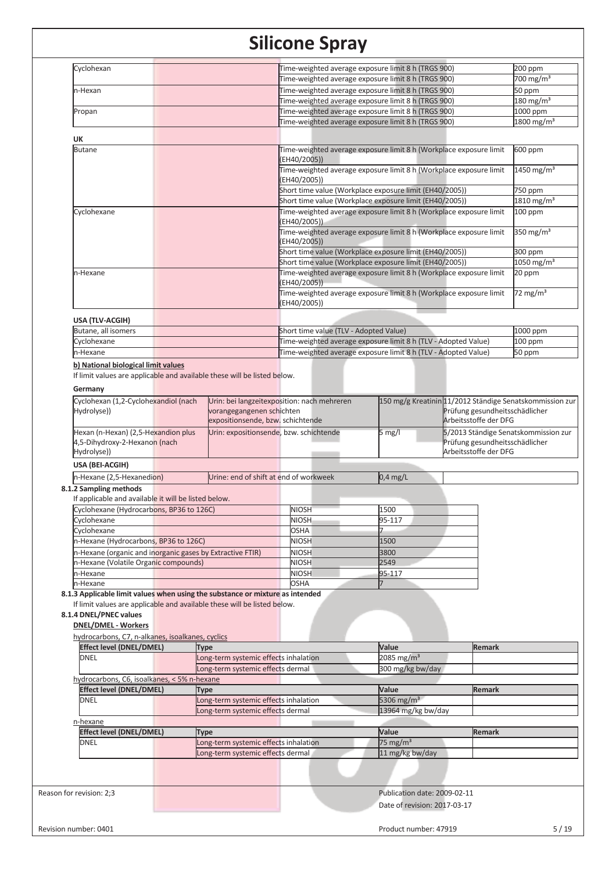| Cyclohexan                                                                                                                                                |             |                                                                              |                                             | Time-weighted average exposure limit 8 h (TRGS 900)                                                                |                                                                                            | 200 ppm                           |
|-----------------------------------------------------------------------------------------------------------------------------------------------------------|-------------|------------------------------------------------------------------------------|---------------------------------------------|--------------------------------------------------------------------------------------------------------------------|--------------------------------------------------------------------------------------------|-----------------------------------|
|                                                                                                                                                           |             |                                                                              |                                             | Time-weighted average exposure limit 8 h (TRGS 900)                                                                |                                                                                            | 700 mg/m <sup>3</sup>             |
| n-Hexan                                                                                                                                                   |             |                                                                              |                                             | Time-weighted average exposure limit 8 h (TRGS 900)                                                                |                                                                                            | 50 ppm                            |
|                                                                                                                                                           |             |                                                                              |                                             | Time-weighted average exposure limit 8 h (TRGS 900)                                                                |                                                                                            | $180 \text{ mg/m}^3$              |
| Propan                                                                                                                                                    |             |                                                                              |                                             | Time-weighted average exposure limit 8 h (TRGS 900)                                                                |                                                                                            | 1000 ppm                          |
|                                                                                                                                                           |             |                                                                              |                                             | Time-weighted average exposure limit 8 h (TRGS 900)                                                                |                                                                                            | 1800 mg/m <sup>3</sup>            |
| UK                                                                                                                                                        |             |                                                                              |                                             |                                                                                                                    |                                                                                            |                                   |
| <b>Butane</b>                                                                                                                                             |             |                                                                              | (EH40/2005))                                | Time-weighted average exposure limit 8 h (Workplace exposure limit                                                 |                                                                                            | 600 ppm                           |
|                                                                                                                                                           |             |                                                                              | (EH40/2005))                                | Time-weighted average exposure limit 8 h (Workplace exposure limit                                                 |                                                                                            | 1450 mg/m <sup>3</sup>            |
|                                                                                                                                                           |             |                                                                              |                                             | Short time value (Workplace exposure limit (EH40/2005))<br>Short time value (Workplace exposure limit (EH40/2005)) |                                                                                            | 750 ppm<br>1810 mg/m <sup>3</sup> |
| Cyclohexane                                                                                                                                               |             |                                                                              |                                             | Time-weighted average exposure limit 8 h (Workplace exposure limit                                                 |                                                                                            | 100 ppm                           |
|                                                                                                                                                           |             |                                                                              | (EH40/2005))                                | Time-weighted average exposure limit 8 h (Workplace exposure limit                                                 |                                                                                            | 350 mg/m $3$                      |
|                                                                                                                                                           |             |                                                                              | (EH40/2005))                                | Short time value (Workplace exposure limit (EH40/2005))                                                            |                                                                                            | 300 ppm                           |
|                                                                                                                                                           |             |                                                                              |                                             | Short time value (Workplace exposure limit (EH40/2005))                                                            |                                                                                            | 1050 mg/m <sup>3</sup>            |
| n-Hexane                                                                                                                                                  |             |                                                                              | (EH40/2005))                                | Time-weighted average exposure limit 8 h (Workplace exposure limit                                                 |                                                                                            | 20 ppm                            |
|                                                                                                                                                           |             |                                                                              | (EH40/2005))                                | Time-weighted average exposure limit 8 h (Workplace exposure limit                                                 |                                                                                            | $72 \text{ mg/m}^3$               |
| USA (TLV-ACGIH)                                                                                                                                           |             |                                                                              |                                             |                                                                                                                    |                                                                                            |                                   |
| Butane, all isomers                                                                                                                                       |             |                                                                              | Short time value (TLV - Adopted Value)      |                                                                                                                    |                                                                                            | 1000 ppm                          |
| Cyclohexane                                                                                                                                               |             |                                                                              |                                             | Time-weighted average exposure limit 8 h (TLV - Adopted Value)                                                     |                                                                                            | 100 ppm                           |
| n-Hexane                                                                                                                                                  |             |                                                                              |                                             | Time-weighted average exposure limit 8 h (TLV - Adopted Value)                                                     |                                                                                            | 50 ppm                            |
| b) National biological limit values                                                                                                                       |             |                                                                              |                                             |                                                                                                                    |                                                                                            |                                   |
| Germany<br>Cyclohexan (1,2-Cyclohexandiol (nach<br>Hydrolyse))                                                                                            |             | vorangegangenen schichten                                                    | Urin: bei langzeitexposition: nach mehreren |                                                                                                                    | 150 mg/g Kreatinin 11/2012 Ständige Senatskommission zur<br>Prüfung gesundheitsschädlicher |                                   |
| Hexan (n-Hexan) (2,5-Hexandion plus                                                                                                                       |             | expositionsende, bzw. schichtende<br>Urin: expositionsende, bzw. schichtende |                                             | $5$ mg/l                                                                                                           | Arbeitsstoffe der DFG<br>5/2013 Ständige Senatskommission zur                              |                                   |
| 4,5-Dihydroxy-2-Hexanon (nach<br>Hydrolyse))                                                                                                              |             |                                                                              |                                             |                                                                                                                    | Prüfung gesundheitsschädlicher<br>Arbeitsstoffe der DFG                                    |                                   |
| USA (BEI-ACGIH)                                                                                                                                           |             |                                                                              |                                             |                                                                                                                    |                                                                                            |                                   |
| n-Hexane (2,5-Hexanedion)                                                                                                                                 |             | Urine: end of shift at end of workweek                                       |                                             | $0,4$ mg/L                                                                                                         |                                                                                            |                                   |
| 8.1.2 Sampling methods                                                                                                                                    |             |                                                                              |                                             |                                                                                                                    |                                                                                            |                                   |
| If applicable and available it will be listed below.                                                                                                      |             |                                                                              |                                             |                                                                                                                    |                                                                                            |                                   |
| Cyclohexane (Hydrocarbons, BP36 to 126C)                                                                                                                  |             |                                                                              | <b>NIOSH</b>                                | 1500                                                                                                               |                                                                                            |                                   |
| Cyclohexane                                                                                                                                               |             |                                                                              | <b>NIOSH</b>                                | 95-117                                                                                                             |                                                                                            |                                   |
| Cyclohexane                                                                                                                                               |             |                                                                              | <b>OSHA</b>                                 |                                                                                                                    |                                                                                            |                                   |
| n-Hexane (Hydrocarbons, BP36 to 126C)                                                                                                                     |             |                                                                              | <b>NIOSH</b>                                | 1500                                                                                                               |                                                                                            |                                   |
| n-Hexane (organic and inorganic gases by Extractive FTIR)                                                                                                 |             |                                                                              | <b>NIOSH</b>                                | 3800                                                                                                               |                                                                                            |                                   |
| n-Hexane (Volatile Organic compounds)                                                                                                                     |             |                                                                              | <b>NIOSH</b>                                | 2549                                                                                                               |                                                                                            |                                   |
| n-Hexane                                                                                                                                                  |             |                                                                              | <b>NIOSH</b>                                | 95-117                                                                                                             |                                                                                            |                                   |
| n-Hexane                                                                                                                                                  |             |                                                                              | <b>OSHA</b>                                 |                                                                                                                    |                                                                                            |                                   |
| 8.1.3 Applicable limit values when using the substance or mixture as intended<br>If limit values are applicable and available these will be listed below. |             |                                                                              |                                             |                                                                                                                    |                                                                                            |                                   |
| 8.1.4 DNEL/PNEC values<br><b>DNEL/DMEL - Workers</b>                                                                                                      |             |                                                                              |                                             |                                                                                                                    |                                                                                            |                                   |
| hydrocarbons, C7, n-alkanes, isoalkanes, cyclics                                                                                                          |             |                                                                              |                                             |                                                                                                                    |                                                                                            |                                   |
| <b>Effect level (DNEL/DMEL)</b>                                                                                                                           | <b>Type</b> |                                                                              |                                             | Value                                                                                                              | <b>Remark</b>                                                                              |                                   |
| <b>DNEL</b>                                                                                                                                               |             | Long-term systemic effects inhalation                                        |                                             | 2085 mg/m <sup>3</sup>                                                                                             |                                                                                            |                                   |
|                                                                                                                                                           |             | Long-term systemic effects dermal                                            |                                             | 300 mg/kg bw/day                                                                                                   |                                                                                            |                                   |
| hydrocarbons, C6, isoalkanes, < 5% n-hexane                                                                                                               |             |                                                                              |                                             |                                                                                                                    |                                                                                            |                                   |
| <b>Effect level (DNEL/DMEL)</b>                                                                                                                           | <b>Type</b> |                                                                              |                                             | Value                                                                                                              | <b>Remark</b>                                                                              |                                   |
| <b>DNEL</b>                                                                                                                                               |             | Long-term systemic effects inhalation                                        |                                             | 5306 mg/m $3$                                                                                                      |                                                                                            |                                   |
| n-hexane                                                                                                                                                  |             | Long-term systemic effects dermal                                            |                                             | 13964 mg/kg bw/day                                                                                                 |                                                                                            |                                   |
| <b>Effect level (DNEL/DMEL)</b>                                                                                                                           | <b>Type</b> |                                                                              |                                             | Value                                                                                                              | <b>Remark</b>                                                                              |                                   |
| <b>DNEL</b>                                                                                                                                               |             | Long-term systemic effects inhalation                                        |                                             | 75 mg/m <sup>3</sup>                                                                                               |                                                                                            |                                   |
|                                                                                                                                                           |             | Long-term systemic effects dermal                                            |                                             | 11 mg/kg bw/day                                                                                                    |                                                                                            |                                   |
|                                                                                                                                                           |             |                                                                              |                                             |                                                                                                                    |                                                                                            |                                   |
|                                                                                                                                                           |             |                                                                              |                                             |                                                                                                                    |                                                                                            |                                   |
| Reason for revision: 2;3                                                                                                                                  |             |                                                                              |                                             | Publication date: 2009-02-11                                                                                       |                                                                                            |                                   |
|                                                                                                                                                           |             |                                                                              |                                             | Date of revision: 2017-03-17                                                                                       |                                                                                            |                                   |
|                                                                                                                                                           |             |                                                                              |                                             |                                                                                                                    |                                                                                            |                                   |
| Revision number: 0401                                                                                                                                     |             |                                                                              |                                             | Product number: 47919                                                                                              |                                                                                            | 5/19                              |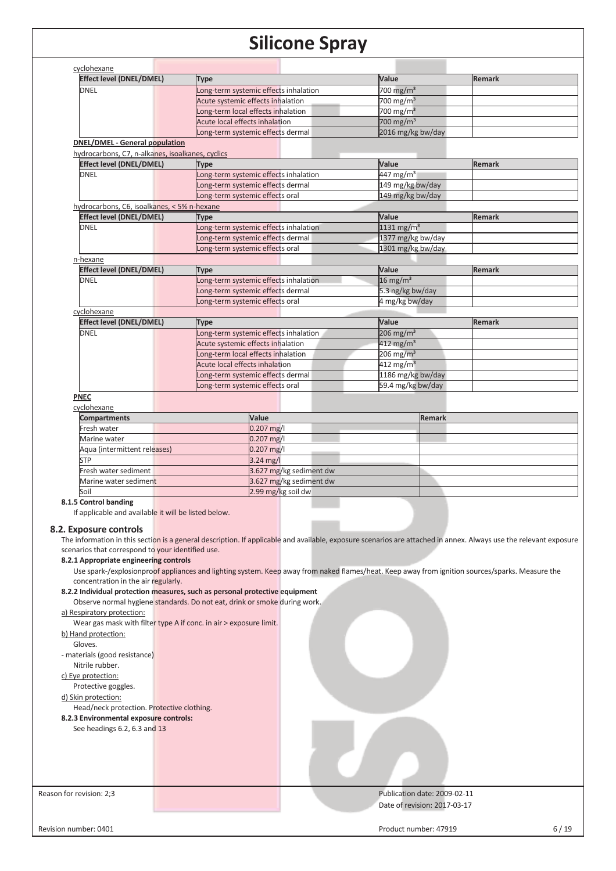| <b>Effect level (DNEL/DMEL)</b>                      | <b>Type</b>                                                                                                                                                       | Value                    | <b>Remark</b> |
|------------------------------------------------------|-------------------------------------------------------------------------------------------------------------------------------------------------------------------|--------------------------|---------------|
| <b>DNEL</b>                                          | Long-term systemic effects inhalation                                                                                                                             | 700 mg/m <sup>3</sup>    |               |
|                                                      | Acute systemic effects inhalation                                                                                                                                 | 700 mg/m <sup>3</sup>    |               |
|                                                      | Long-term local effects inhalation                                                                                                                                | 700 mg/m $3$             |               |
|                                                      | Acute local effects inhalation                                                                                                                                    | 700 mg/m <sup>3</sup>    |               |
|                                                      | Long-term systemic effects dermal                                                                                                                                 | 2016 mg/kg bw/day        |               |
| <b>DNEL/DMEL - General population</b>                |                                                                                                                                                                   |                          |               |
| hydrocarbons, C7, n-alkanes, isoalkanes, cyclics     |                                                                                                                                                                   |                          |               |
| <b>Effect level (DNEL/DMEL)</b>                      | <b>Type</b>                                                                                                                                                       | Value                    | <b>Remark</b> |
| <b>DNEL</b>                                          | Long-term systemic effects inhalation                                                                                                                             | 447 mg/m <sup>3</sup>    |               |
|                                                      | Long-term systemic effects dermal                                                                                                                                 | 149 mg/kg bw/day         |               |
|                                                      | Long-term systemic effects oral                                                                                                                                   | 149 mg/kg bw/day         |               |
| hydrocarbons, C6, isoalkanes, < 5% n-hexane          |                                                                                                                                                                   |                          |               |
| <b>Effect level (DNEL/DMEL)</b>                      | Type                                                                                                                                                              | Value                    | <b>Remark</b> |
| <b>DNEL</b>                                          | Long-term systemic effects inhalation                                                                                                                             | $1131$ mg/m <sup>3</sup> |               |
|                                                      | Long-term systemic effects dermal                                                                                                                                 | 1377 mg/kg bw/day        |               |
|                                                      | Long-term systemic effects oral                                                                                                                                   | 1301 mg/kg bw/day        |               |
| n-hexane                                             |                                                                                                                                                                   |                          |               |
| <b>Effect level (DNEL/DMEL)</b>                      | <b>Type</b>                                                                                                                                                       | Value                    | <b>Remark</b> |
| <b>DNEL</b>                                          | Long-term systemic effects inhalation                                                                                                                             | $16 \text{ mg/m}^3$      |               |
|                                                      | Long-term systemic effects dermal                                                                                                                                 | 5.3 ng/kg bw/day         |               |
|                                                      | Long-term systemic effects oral                                                                                                                                   | 4 mg/kg bw/day           |               |
| cyclohexane                                          |                                                                                                                                                                   |                          |               |
| <b>Effect level (DNEL/DMEL)</b>                      | Type                                                                                                                                                              | Value                    | <b>Remark</b> |
| <b>DNEL</b>                                          | Long-term systemic effects inhalation                                                                                                                             | $206$ mg/m <sup>3</sup>  |               |
|                                                      | Acute systemic effects inhalation                                                                                                                                 | $412$ mg/m <sup>3</sup>  |               |
|                                                      | Long-term local effects inhalation                                                                                                                                | $206$ mg/m <sup>3</sup>  |               |
|                                                      | <b>Acute local effects inhalation</b>                                                                                                                             | 412 mg/m <sup>3</sup>    |               |
|                                                      | Long-term systemic effects dermal                                                                                                                                 | 1186 mg/kg bw/day        |               |
|                                                      | Long-term systemic effects oral                                                                                                                                   | 59.4 mg/kg bw/day        |               |
| <b>PNEC</b>                                          |                                                                                                                                                                   |                          |               |
| cyclohexane                                          |                                                                                                                                                                   |                          |               |
| <b>Compartments</b>                                  | Value                                                                                                                                                             | <b>Remark</b>            |               |
| Fresh water                                          | $0.207$ mg/l                                                                                                                                                      |                          |               |
| Marine water                                         | 0.207 mg/l                                                                                                                                                        |                          |               |
| Aqua (intermittent releases)                         | $0.207$ mg/l                                                                                                                                                      |                          |               |
| <b>STP</b>                                           | $3.24 \text{ mg/l}$                                                                                                                                               |                          |               |
| Fresh water sediment                                 | 3.627 mg/kg sediment dw                                                                                                                                           |                          |               |
| Marine water sediment                                | 3.627 mg/kg sediment dw                                                                                                                                           |                          |               |
| Soil                                                 | 2.99 mg/kg soil dw                                                                                                                                                |                          |               |
| 8.1.5 Control banding                                |                                                                                                                                                                   |                          |               |
| If applicable and available it will be listed below. |                                                                                                                                                                   |                          |               |
| 8.2. Exposure controls                               |                                                                                                                                                                   |                          |               |
|                                                      | The information in this section is a general description. If applicable and available, exposure scenarios are attached in annex. Always use the relevant exposure |                          |               |
| scenarios that correspond to your identified use.    |                                                                                                                                                                   |                          |               |
| 8.2.1 Appropriate engineering controls               |                                                                                                                                                                   |                          |               |

Observe normal hygiene standards. Do not eat, drink or smoke during work. a) Respiratory protection:

Wear gas mask with filter type A if conc. in air > exposure limit.

b) Hand protection: Gloves.

- materials (good resistance) Nitrile rubber.

c) Eye protection:

Protective goggles.

d) Skin protection:

Head/neck protection. Protective clothing.

**8.2.3 Environmental exposure controls:** 

See headings 6.2, 6.3 and 13

Reason for revision: 2;3 **Publication date: 2009-02-11** Publication date: 2009-02-11 Date of revision: 2017-03-17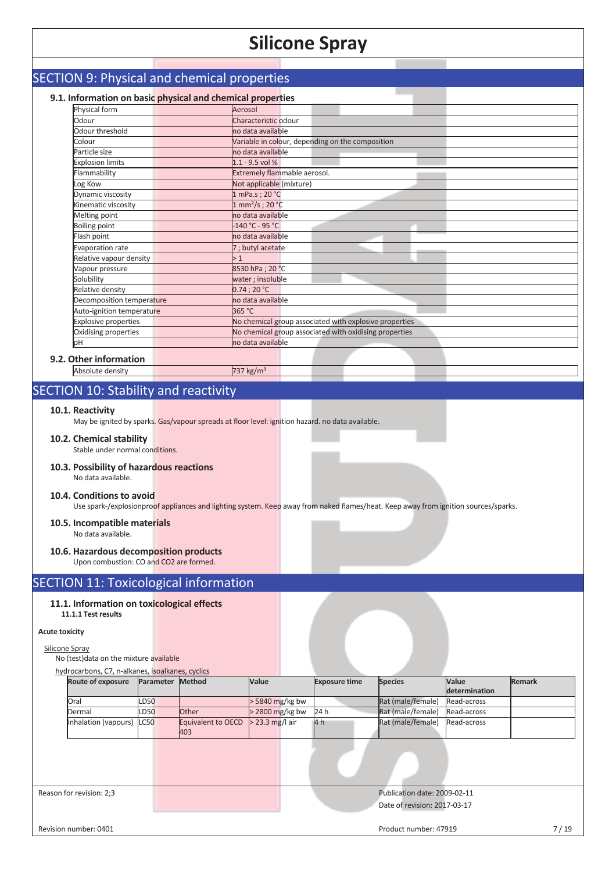# SECTION 9: Physical and chemical properties

# **9.1. Information on basic physical and chemical properties**

| Physical form               | Aerosol                                                |
|-----------------------------|--------------------------------------------------------|
| Odour                       | Characteristic odour                                   |
| Odour threshold             | no data available                                      |
| Colour                      | Variable in colour, depending on the composition       |
| Particle size               | no data available                                      |
| <b>Explosion limits</b>     | $1.1 - 9.5$ vol %                                      |
| Flammability                | Extremely flammable aerosol.                           |
| Log Kow                     | Not applicable (mixture)                               |
| Dynamic viscosity           | 1 mPa.s ; 20 °C                                        |
| Kinematic viscosity         | $1 \text{ mm}^2/\text{s}$ ; 20 °C                      |
| Melting point               | no data available                                      |
| <b>Boiling point</b>        | $-140 °C - 95 °C$                                      |
| Flash point                 | no data available                                      |
| Evaporation rate            | 7 ; butyl acetate                                      |
| Relative vapour density     | >1                                                     |
| Vapour pressure             | 8530 hPa ; 20 °C                                       |
| Solubility                  | water ; insoluble                                      |
| Relative density            | 0.74:20 °C                                             |
| Decomposition temperature   | no data available                                      |
| Auto-ignition temperature   | 365 °C                                                 |
| <b>Explosive properties</b> | No chemical group associated with explosive properties |
| Oxidising properties        | No chemical group associated with oxidising properties |
| pH                          | no data available                                      |

## **9.2. Other informati**

# Absolute density 737 kg/m<sup>3</sup>

# SECTION 10: Stability and reactivity

#### **10.1. Reactivity**

May be ignited by sparks. Gas/vapour spreads at floor level: ignition hazard. no data available.

## **10.2. Chemical stability**

Stable under normal conditions.

#### **10.3. Possibility of hazardous reactions**  No data available.

### **10.4. Conditions to avoid**

Use spark-/explosionproof appliances and lighting system. Keep away from naked flames/heat. Keep away from ignition sources/sparks.

#### **10.5. Incompatible materials**  No data available.

### **10.6. Hazardous decomposition products**

Upon combustion: CO and CO2 are formed.

## SECTION 11: Toxicological information

### **11.1. Information on toxicological effects**

**11.1.1 Test results** 

### **Acute toxicity**

## Silicone Spray

#### No (test)data on the mixture available hydrocarbons, C7, n-alkanes, isoalkanes, cyclics

| <b>Route of exposure</b>  | Parameter   | Method                    | Value             | <b>Exposure time</b> | <b>Species</b>               | <b>Value</b>  | <b>Remark</b> |
|---------------------------|-------------|---------------------------|-------------------|----------------------|------------------------------|---------------|---------------|
|                           |             |                           |                   |                      |                              | determination |               |
| Oral                      | <b>LD50</b> |                           | $>$ 5840 mg/kg bw |                      | Rat (male/female)            | Read-across   |               |
| Dermal                    | <b>LD50</b> | Other                     | $>$ 2800 mg/kg bw | 24 h                 | Rat (male/female)            | Read-across   |               |
| Inhalation (vapours) LC50 |             | Equivalent to OECD<br>403 | $>$ 23.3 mg/l air | 4h                   | Rat (male/female)            | Read-across   |               |
|                           |             |                           |                   |                      |                              |               |               |
| Reason for revision: 2;3  |             |                           |                   |                      | Publication date: 2009-02-11 |               |               |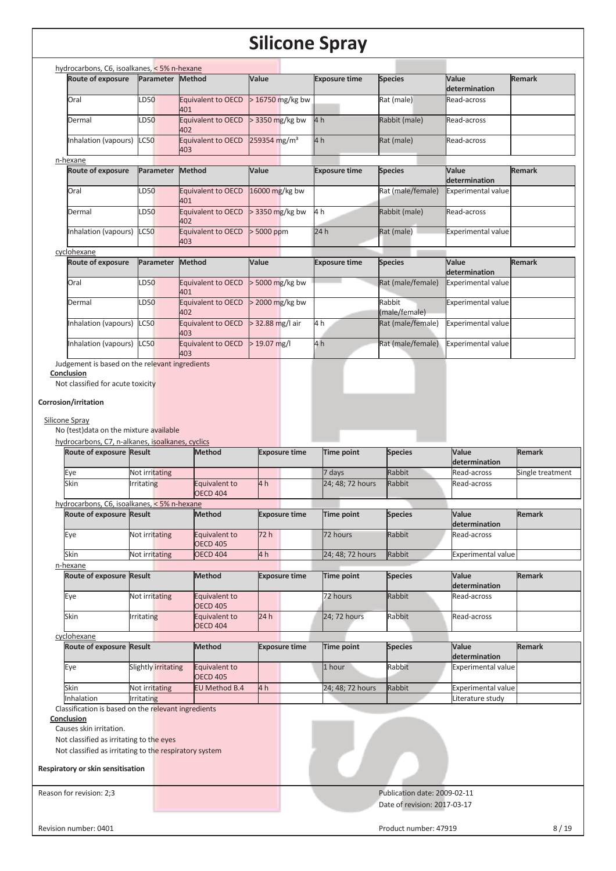| <b>Route of exposure</b>                                          | Parameter           | hydrocarbons, C6, isoalkanes, < 5% n-hexane<br>Method | Value                    | <b>Exposure time</b> | <b>Species</b>               | Value                                      | <b>Remark</b>    |
|-------------------------------------------------------------------|---------------------|-------------------------------------------------------|--------------------------|----------------------|------------------------------|--------------------------------------------|------------------|
|                                                                   |                     |                                                       |                          |                      |                              | determination                              |                  |
| Oral                                                              | LD50                | Equivalent to OECD<br>401                             | > 16750 mg/kg bw         |                      | Rat (male)                   | Read-across                                |                  |
| Dermal                                                            | LD50                | Equivalent to OECD<br>402                             | > 3350 mg/kg bw          | 4 h                  | Rabbit (male)                | Read-across                                |                  |
| Inhalation (vapours)                                              | <b>LC50</b>         | Equivalent to OECD<br>403                             | 259354 mg/m <sup>3</sup> | 4 <sub>h</sub>       | Rat (male)                   | Read-across                                |                  |
| n-hexane                                                          |                     |                                                       |                          |                      |                              |                                            |                  |
| <b>Route of exposure</b>                                          | Parameter           | <b>Method</b>                                         | Value                    | <b>Exposure time</b> | <b>Species</b>               | Value<br>determination                     | <b>Remark</b>    |
| Oral                                                              | LD50                | Equivalent to OECD<br>401                             | 16000 mg/kg bw           |                      | Rat (male/female)            | <b>Experimental value</b>                  |                  |
| Dermal                                                            | LD50                | Equivalent to OECD<br>402                             | > 3350 mg/kg bw          | 4 h                  | Rabbit (male)                | Read-across                                |                  |
| Inhalation (vapours)                                              | <b>LC50</b>         | Equivalent to OECD                                    | > 5000 ppm               | 24 h                 | Rat (male)                   | <b>Experimental value</b>                  |                  |
|                                                                   |                     | 403                                                   |                          |                      |                              |                                            |                  |
| cyclohexane<br><b>Route of exposure</b>                           | Parameter           | Method                                                | Value                    | <b>Exposure time</b> | <b>Species</b>               | Value<br>determination                     | <b>Remark</b>    |
| Oral                                                              | LD50                | Equivalent to OECD<br>401                             | > 5000 mg/kg bw          |                      | Rat (male/female)            | <b>Experimental value</b>                  |                  |
| Dermal                                                            | LD50                | Equivalent to OECD<br>402                             | > 2000 mg/kg bw          |                      | Rabbit<br>(male/female)      | <b>Experimental value</b>                  |                  |
| Inhalation (vapours)                                              | <b>LC50</b>         | Equivalent to OECD                                    | > 32.88 mg/l air         | 4 h                  | Rat (male/female)            | <b>Experimental value</b>                  |                  |
| Inhalation (vapours)                                              | <b>LC50</b>         | 403<br>Equivalent to OECD<br>403                      | $> 19.07$ mg/l           | 4h                   | Rat (male/female)            | <b>Experimental value</b>                  |                  |
| Judgement is based on the relevant ingredients                    |                     |                                                       |                          |                      |                              |                                            |                  |
| Conclusion                                                        |                     |                                                       |                          |                      |                              |                                            |                  |
| Not classified for acute toxicity                                 |                     |                                                       |                          |                      |                              |                                            |                  |
|                                                                   |                     |                                                       |                          |                      |                              |                                            |                  |
| Corrosion/irritation                                              |                     |                                                       |                          |                      |                              |                                            |                  |
| Silicone Spray                                                    |                     |                                                       |                          |                      |                              |                                            |                  |
| No (test) data on the mixture available                           |                     |                                                       |                          |                      |                              |                                            |                  |
| hydrocarbons, C7, n-alkanes, isoalkanes, cyclics                  |                     |                                                       |                          |                      |                              |                                            |                  |
|                                                                   |                     |                                                       |                          |                      |                              |                                            |                  |
|                                                                   |                     |                                                       |                          |                      |                              |                                            |                  |
| Route of exposure Result                                          |                     | Method                                                | <b>Exposure time</b>     | Time point           | <b>Species</b>               | Value<br>determination                     | <b>Remark</b>    |
| Eye                                                               | Not irritating      |                                                       |                          | 7 days               | Rabbit                       | Read-across                                | Single treatment |
| Skin                                                              | <b>Irritating</b>   | Equivalent to                                         | 4 h                      | 24; 48; 72 hours     | Rabbit                       | Read-across                                |                  |
|                                                                   |                     | <b>OECD 404</b>                                       |                          |                      |                              |                                            |                  |
| hydrocarbons, C6, isoalkanes, < 5% n-hexane                       |                     |                                                       |                          |                      |                              |                                            |                  |
| Route of exposure Result                                          |                     | Method                                                | <b>Exposure time</b>     | Time point           | <b>Species</b>               | Value                                      | Remark           |
|                                                                   |                     |                                                       |                          |                      |                              | determination                              |                  |
| Eye                                                               | Not irritating      | Equivalent to                                         | 72 h                     | 72 hours             | Rabbit                       | Read-across                                |                  |
| Skin                                                              | Not irritating      | <b>OECD 405</b><br><b>OECD 404</b>                    | 4h                       | 24; 48; 72 hours     | Rabbit                       | <b>Experimental value</b>                  |                  |
| n-hexane                                                          |                     |                                                       |                          |                      |                              |                                            |                  |
| Route of exposure Result                                          |                     | <b>Method</b>                                         | <b>Exposure time</b>     | Time point           | <b>Species</b>               | Value<br>determination                     | <b>Remark</b>    |
| Eye                                                               | Not irritating      | Equivalent to<br><b>OECD 405</b>                      |                          | 72 hours             | Rabbit                       | Read-across                                |                  |
| Skin                                                              | <b>Irritating</b>   | Equivalent to<br><b>OECD 404</b>                      | 24h                      | 24; 72 hours         | Rabbit                       | Read-across                                |                  |
| cyclohexane                                                       |                     |                                                       |                          |                      |                              |                                            |                  |
| Route of exposure Result                                          |                     | <b>Method</b>                                         | <b>Exposure time</b>     | Time point           | <b>Species</b>               | Value                                      | <b>Remark</b>    |
| Eye                                                               | Slightly irritating | Equivalent to                                         |                          | 1 hour               | Rabbit                       | determination<br><b>Experimental value</b> |                  |
|                                                                   |                     | <b>OECD 405</b>                                       |                          |                      |                              |                                            |                  |
| Skin                                                              | Not irritating      | EU Method B.4                                         | 4 h                      | 24; 48; 72 hours     | Rabbit                       | <b>Experimental value</b>                  |                  |
| Inhalation                                                        | <b>Irritating</b>   |                                                       |                          |                      |                              | Literature study                           |                  |
| Classification is based on the relevant ingredients<br>Conclusion |                     |                                                       |                          |                      |                              |                                            |                  |
| Causes skin irritation.                                           |                     |                                                       |                          |                      |                              |                                            |                  |
| Not classified as irritating to the eyes                          |                     |                                                       |                          |                      |                              |                                            |                  |
| Not classified as irritating to the respiratory system            |                     |                                                       |                          |                      |                              |                                            |                  |
| Respiratory or skin sensitisation                                 |                     |                                                       |                          |                      |                              |                                            |                  |
|                                                                   |                     |                                                       |                          |                      |                              |                                            |                  |
| Reason for revision: 2;3                                          |                     |                                                       |                          |                      | Publication date: 2009-02-11 |                                            |                  |
|                                                                   |                     |                                                       |                          |                      | Date of revision: 2017-03-17 |                                            |                  |
|                                                                   |                     |                                                       |                          |                      | Product number: 47919        |                                            | 8/19             |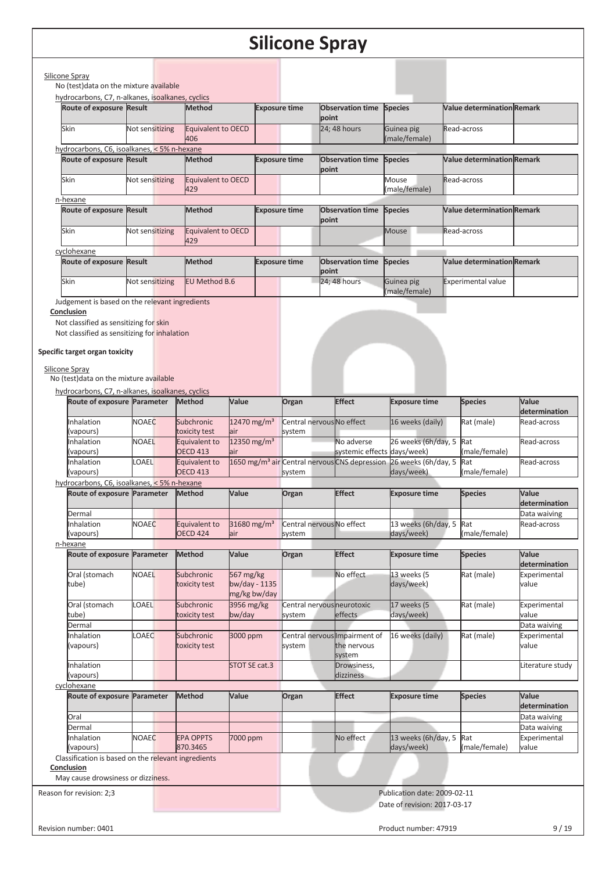|                                                                                                                                                                                       |                             |                                  |                                            |                      | Silicone Spray                                            |                                                              |                                   |                               |
|---------------------------------------------------------------------------------------------------------------------------------------------------------------------------------------|-----------------------------|----------------------------------|--------------------------------------------|----------------------|-----------------------------------------------------------|--------------------------------------------------------------|-----------------------------------|-------------------------------|
|                                                                                                                                                                                       |                             |                                  |                                            |                      |                                                           |                                                              |                                   |                               |
| Silicone Spray<br>No (test) data on the mixture available                                                                                                                             |                             |                                  |                                            |                      |                                                           |                                                              |                                   |                               |
| hydrocarbons, C7, n-alkanes, isoalkanes, cyclics                                                                                                                                      |                             |                                  |                                            |                      |                                                           |                                                              |                                   |                               |
| Route of exposure Result                                                                                                                                                              |                             | <b>Method</b>                    |                                            | <b>Exposure time</b> | <b>Observation time</b><br>point                          | <b>Species</b>                                               | <b>Value determination Remark</b> |                               |
| Skin                                                                                                                                                                                  | Not sensitizing             | <b>Equivalent to OECD</b><br>406 |                                            |                      | 24; 48 hours                                              | Guinea pig<br>(male/female)                                  | Read-across                       |                               |
| hydrocarbons, C6, isoalkanes, < 5% n-hexane                                                                                                                                           |                             |                                  |                                            |                      |                                                           |                                                              |                                   |                               |
| Route of exposure Result                                                                                                                                                              |                             | Method                           |                                            | <b>Exposure time</b> | <b>Observation time</b><br>point                          | <b>Species</b>                                               | <b>Value determination Remark</b> |                               |
| Skin                                                                                                                                                                                  | Not sensitizing             | Equivalent to OECD<br>429        |                                            |                      |                                                           | Mouse<br>(male/female)                                       | Read-across                       |                               |
| n-hexane<br>Route of exposure Result                                                                                                                                                  |                             | <b>Method</b>                    |                                            | <b>Exposure time</b> | <b>Observation time</b><br>point                          | <b>Species</b>                                               | <b>Value determination Remark</b> |                               |
| Skin                                                                                                                                                                                  | Not sensitizing             | <b>Equivalent to OECD</b><br>429 |                                            |                      |                                                           | <b>Mouse</b>                                                 | Read-across                       |                               |
| cyclohexane<br>Route of exposure Result                                                                                                                                               |                             | Method                           |                                            | <b>Exposure time</b> | <b>Observation time</b><br>point                          | <b>Species</b>                                               | <b>Value determination Remark</b> |                               |
| Skin                                                                                                                                                                                  | Not sensitizing             | <b>EU Method B.6</b>             |                                            |                      | 24; 48 hours                                              | Guinea pig                                                   | <b>Experimental value</b>         |                               |
|                                                                                                                                                                                       |                             |                                  |                                            |                      |                                                           | (male/female)                                                |                                   |                               |
| Not classified as sensitizing for skin<br>Not classified as sensitizing for inhalation<br>Specific target organ toxicity<br>Silicone Spray<br>No (test) data on the mixture available |                             |                                  |                                            |                      |                                                           |                                                              |                                   |                               |
| hydrocarbons, C7, n-alkanes, isoalkanes, cyclics                                                                                                                                      | Route of exposure Parameter | Method                           | Value                                      | Organ                | <b>Effect</b>                                             | <b>Exposure time</b>                                         | <b>Species</b>                    | Value                         |
|                                                                                                                                                                                       |                             |                                  |                                            |                      |                                                           |                                                              |                                   | determination                 |
| nhalation<br>(vapours)                                                                                                                                                                | <b>NOAEC</b>                | Subchronic<br>toxicity test      | $12470$ mg/m <sup>3</sup><br>air           | system               | Central nervous No effect                                 | 16 weeks (daily)                                             | Rat (male)                        | Read-across                   |
| nhalation<br>(vapours)                                                                                                                                                                | NOAEL                       | Equivalent to<br><b>OECD 413</b> | 12350 mg/m <sup>3</sup><br>lair            |                      | No adverse                                                | 26 weeks (6h/day, 5<br>systemic effects days/week)           | Rat<br>(male/female)              | Read-across                   |
| Inhalation<br>(vapours)                                                                                                                                                               | <b>OAEL</b>                 | Equivalent to<br><b>OECD 413</b> |                                            | system               | 1650 mg/m <sup>3</sup> air Central nervous CNS depression | 26 weeks (6h/day, 5<br>days/week)                            | Rat<br>(male/female)              | Read-across                   |
| hydrocarbons, C6, isoalkanes, < 5% n-hexane                                                                                                                                           |                             |                                  |                                            |                      | <b>Effect</b>                                             |                                                              |                                   | Value                         |
| Dermal                                                                                                                                                                                | Route of exposure Parameter | <b>Method</b>                    | Value                                      | Organ                |                                                           | <b>Exposure time</b>                                         | <b>Species</b>                    | determination<br>Data waiving |
| nhalation                                                                                                                                                                             | <b>NOAEC</b>                | Equivalent to                    | 31680 mg/m <sup>3</sup>                    |                      | Central nervous No effect                                 | 13 weeks (6h/day, 5                                          | Rat                               | Read-across                   |
| (vapours)                                                                                                                                                                             |                             | <b>OECD 424</b>                  | lair                                       | system               |                                                           | days/week)                                                   | (male/female)                     |                               |
| n-hexane                                                                                                                                                                              |                             |                                  |                                            |                      |                                                           |                                                              |                                   |                               |
| <b>Route of exposure</b>                                                                                                                                                              | Parameter                   | <b>Method</b>                    | Value                                      | Organ                | <b>Effect</b>                                             | <b>Exposure time</b>                                         | <b>Species</b>                    | Value<br>determination        |
| Oral (stomach<br>tube)                                                                                                                                                                | <b>NOAEL</b>                | Subchronic<br>toxicity test      | 567 mg/kg<br>bw/day - 1135<br>mg/kg bw/day |                      | No effect                                                 | 13 weeks (5<br>days/week)                                    | Rat (male)                        | Experimental<br>value         |
| Oral (stomach<br>tube)                                                                                                                                                                | <b>OAEL</b>                 | Subchronic<br>toxicity test      | 3956 mg/kg<br>bw/day                       | system               | Central nervous neurotoxic<br>effects                     | 17 weeks (5<br>days/week)                                    | Rat (male)                        | Experimental<br>value         |
| Dermal                                                                                                                                                                                |                             |                                  |                                            |                      |                                                           |                                                              |                                   | Data waiving                  |
| Inhalation<br>(vapours)                                                                                                                                                               | <b>OAEC</b>                 | Subchronic<br>toxicity test      | 3000 ppm                                   | system               | Central nervous Impairment of<br>the nervous<br>system    | 16 weeks (daily)                                             | Rat (male)                        | Experimental<br>value         |
| Inhalation<br>(vapours)                                                                                                                                                               |                             |                                  | STOT SE cat.3                              |                      | Drowsiness,<br>dizziness                                  |                                                              |                                   | Literature study              |
| cyclohexane                                                                                                                                                                           |                             |                                  |                                            |                      |                                                           |                                                              |                                   |                               |
| <b>Route of exposure</b>                                                                                                                                                              | Parameter                   | <b>Method</b>                    | Value                                      | Organ                | <b>Effect</b>                                             | <b>Exposure time</b>                                         | <b>Species</b>                    | Value<br>determination        |
| Oral                                                                                                                                                                                  |                             |                                  |                                            |                      |                                                           |                                                              |                                   | Data waiving                  |
| Dermal<br>Inhalation                                                                                                                                                                  | <b>NOAEC</b>                | <b>EPA OPPTS</b>                 | 7000 ppm                                   |                      | No effect                                                 | 13 weeks (6h/day, 5                                          | Rat                               | Data waiving<br>Experimental  |
| (vapours)                                                                                                                                                                             |                             | 870.3465                         |                                            |                      |                                                           | days/week)                                                   | (male/female)                     | value                         |
| Classification is based on the relevant ingredients                                                                                                                                   |                             |                                  |                                            |                      |                                                           |                                                              |                                   |                               |
| <b>Conclusion</b>                                                                                                                                                                     |                             |                                  |                                            |                      |                                                           |                                                              |                                   |                               |
| May cause drowsiness or dizziness.                                                                                                                                                    |                             |                                  |                                            |                      |                                                           |                                                              |                                   |                               |
| Reason for revision: 2;3                                                                                                                                                              |                             |                                  |                                            |                      |                                                           | Publication date: 2009-02-11<br>Date of revision: 2017-03-17 |                                   |                               |
|                                                                                                                                                                                       |                             |                                  |                                            |                      |                                                           |                                                              |                                   |                               |
| Revision number: 0401                                                                                                                                                                 |                             |                                  |                                            |                      |                                                           | Product number: 47919                                        |                                   | 9/19                          |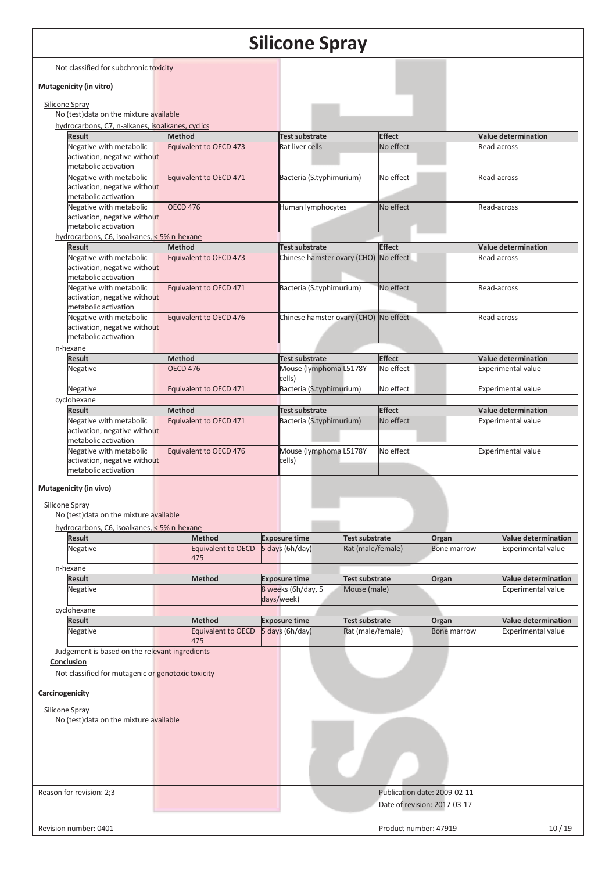|                 |                                                                                                           |                 |                           |                          | Silicone Spray                        |                       |                              |                              |             |                            |
|-----------------|-----------------------------------------------------------------------------------------------------------|-----------------|---------------------------|--------------------------|---------------------------------------|-----------------------|------------------------------|------------------------------|-------------|----------------------------|
|                 | Not classified for subchronic toxicity                                                                    |                 |                           |                          |                                       |                       |                              |                              |             |                            |
|                 | Mutagenicity (in vitro)                                                                                   |                 |                           |                          |                                       |                       |                              |                              |             |                            |
| Silicone Spray  |                                                                                                           |                 |                           |                          |                                       |                       |                              |                              |             |                            |
|                 | No (test) data on the mixture available                                                                   |                 |                           |                          |                                       |                       |                              |                              |             |                            |
|                 | hydrocarbons, C7, n-alkanes, isoalkanes, cyclics                                                          |                 |                           |                          |                                       |                       |                              |                              |             |                            |
|                 | <b>Result</b>                                                                                             | <b>Method</b>   |                           |                          | <b>Test substrate</b>                 |                       | <b>Effect</b><br>No effect   |                              | Read-across | <b>Value determination</b> |
|                 | Negative with metabolic<br>activation, negative without<br>metabolic activation                           |                 | Equivalent to OECD 473    |                          | Rat liver cells                       |                       |                              |                              |             |                            |
|                 | Negative with metabolic<br>Equivalent to OECD 471<br>activation, negative without<br>metabolic activation |                 |                           | Bacteria (S.typhimurium) |                                       | No effect             |                              | Read-across                  |             |                            |
|                 | Negative with metabolic<br>activation, negative without<br>metabolic activation                           | <b>OECD 476</b> |                           |                          | Human lymphocytes                     |                       | No effect                    |                              | Read-across |                            |
|                 | hydrocarbons, C6, isoalkanes, < 5% n-hexane                                                               |                 |                           |                          |                                       |                       |                              |                              |             |                            |
|                 | <b>Result</b>                                                                                             | <b>Method</b>   |                           |                          | <b>Test substrate</b>                 |                       | <b>Effect</b>                |                              |             | Value determination        |
|                 | Negative with metabolic<br>activation, negative without<br>metabolic activation                           |                 | Equivalent to OECD 473    |                          | Chinese hamster ovary (CHO) No effect |                       |                              |                              | Read-across |                            |
|                 | Negative with metabolic<br>activation, negative without<br>metabolic activation                           |                 | Equivalent to OECD 471    |                          | Bacteria (S.typhimurium)              |                       | No effect                    |                              | Read-across |                            |
|                 | Negative with metabolic<br>activation, negative without<br>metabolic activation                           |                 | Equivalent to OECD 476    |                          | Chinese hamster ovary (CHO) No effect |                       |                              |                              | Read-across |                            |
|                 | n-hexane                                                                                                  |                 |                           |                          |                                       |                       |                              |                              |             |                            |
|                 | <b>Result</b>                                                                                             | <b>Method</b>   |                           |                          | <b>Test substrate</b>                 |                       | <b>Effect</b>                |                              |             | <b>Value determination</b> |
|                 | Negative                                                                                                  | <b>OECD 476</b> |                           |                          | Mouse (lymphoma L5178Y<br>cells)      |                       | No effect                    |                              |             | <b>Experimental value</b>  |
|                 | Negative                                                                                                  |                 | Equivalent to OECD 471    |                          | Bacteria (S.typhimurium)              |                       | No effect                    |                              |             | <b>Experimental value</b>  |
|                 | cyclohexane<br><b>Result</b>                                                                              | <b>Method</b>   |                           |                          | Test substrate                        |                       | <b>Effect</b>                |                              |             | <b>Value determination</b> |
|                 | Negative with metabolic<br>Equivalent to OECD 471<br>activation, negative without<br>metabolic activation |                 | Bacteria (S.typhimurium)  |                          |                                       | No effect             |                              | <b>Experimental value</b>    |             |                            |
|                 | Negative with metabolic<br>activation, negative without<br>metabolic activation                           |                 | Equivalent to OECD 476    |                          | Mouse (lymphoma L5178Y<br>cells)      |                       | No effect                    |                              |             | <b>Experimental value</b>  |
|                 | Mutagenicity (in vivo)                                                                                    |                 |                           |                          |                                       |                       |                              |                              |             |                            |
| Silicone Spray  | No (test) data on the mixture available                                                                   |                 |                           |                          |                                       |                       |                              |                              |             |                            |
|                 | hydrocarbons, C6, isoalkanes, < 5% n-hexane                                                               |                 |                           |                          |                                       |                       |                              |                              |             |                            |
|                 | <b>Result</b>                                                                                             |                 | <b>Method</b>             |                          | <b>Exposure time</b>                  | <b>Test substrate</b> |                              | Organ                        |             | <b>Value determination</b> |
|                 | Negative                                                                                                  |                 | Equivalent to OECD<br>475 |                          | 5 days (6h/day)                       | Rat (male/female)     |                              | <b>Bone marrow</b>           |             | <b>Experimental value</b>  |
|                 | n-hexane<br><b>Result</b>                                                                                 |                 | <b>Method</b>             |                          | <b>Exposure time</b>                  | Test substrate        |                              | Organ                        |             | <b>Value determination</b> |
|                 | Negative                                                                                                  |                 |                           |                          | 8 weeks (6h/day, 5<br>days/week)      | Mouse (male)          |                              |                              |             | <b>Experimental value</b>  |
|                 | cyclohexane                                                                                               |                 |                           |                          |                                       |                       |                              |                              |             |                            |
|                 | Result                                                                                                    |                 | <b>Method</b>             |                          | <b>Exposure time</b>                  | Test substrate        |                              | Organ                        |             | <b>Value determination</b> |
|                 | <b>Negative</b>                                                                                           |                 | Equivalent to OECD<br>475 |                          | 5 days (6h/day)                       | Rat (male/female)     |                              | <b>Bone marrow</b>           |             | <b>Experimental value</b>  |
|                 | Judgement is based on the relevant ingredients<br>Conclusion                                              |                 |                           |                          |                                       |                       |                              |                              |             |                            |
| Carcinogenicity | Not classified for mutagenic or genotoxic toxicity                                                        |                 |                           |                          |                                       |                       |                              |                              |             |                            |
|                 |                                                                                                           |                 |                           |                          |                                       |                       |                              |                              |             |                            |
| Silicone Spray  | No (test) data on the mixture available                                                                   |                 |                           |                          |                                       |                       |                              |                              |             |                            |
|                 |                                                                                                           |                 |                           |                          |                                       |                       |                              |                              |             |                            |
|                 |                                                                                                           |                 |                           |                          |                                       |                       |                              |                              |             |                            |
|                 | Reason for revision: 2;3                                                                                  |                 |                           |                          |                                       |                       | Date of revision: 2017-03-17 | Publication date: 2009-02-11 |             |                            |
|                 | Revision number: 0401                                                                                     |                 |                           |                          |                                       |                       | Product number: 47919        |                              |             | 10/19                      |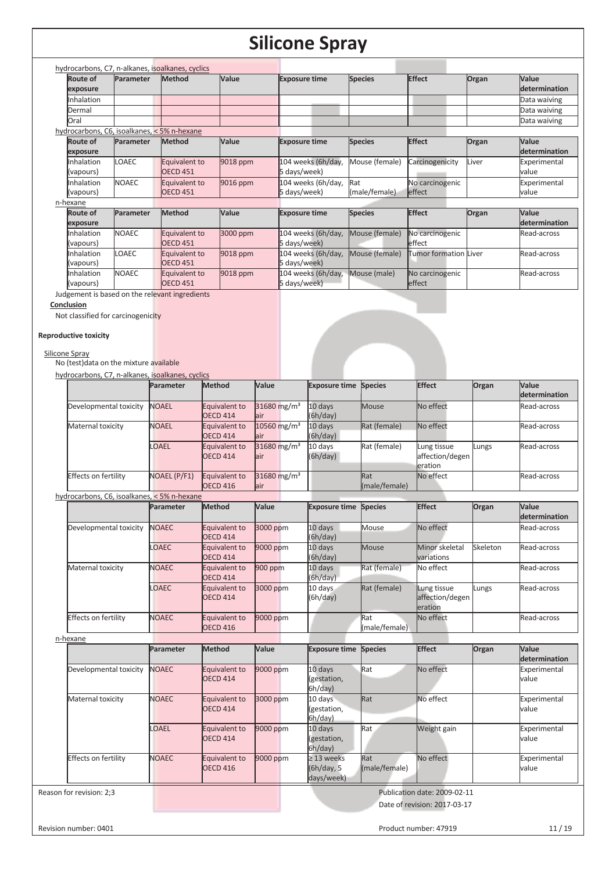|                                             |              | hydrocarbons, C7, n-alkanes, isoalkanes, cyclics |          |                      |                |                       |       |                        |
|---------------------------------------------|--------------|--------------------------------------------------|----------|----------------------|----------------|-----------------------|-------|------------------------|
| Route of<br>exposure                        | Parameter    | <b>Method</b>                                    | Value    | <b>Exposure time</b> | <b>Species</b> | <b>Effect</b>         | Organ | Value<br>determination |
| Inhalation                                  |              |                                                  |          |                      |                |                       |       | Data waiving           |
| Dermal                                      |              |                                                  |          |                      |                |                       |       | Data waiving           |
| Oral                                        |              |                                                  |          |                      |                |                       |       | Data waiving           |
| hydrocarbons, C6, isoalkanes, < 5% n-hexane |              |                                                  |          |                      |                |                       |       |                        |
| Route of                                    | Parameter    | <b>Method</b>                                    | Value    | <b>Exposure time</b> | <b>Species</b> | <b>Effect</b>         | Organ | Value                  |
| exposure                                    |              |                                                  |          |                      |                |                       |       | determination          |
| <b>Inhalation</b>                           | <b>LOAEC</b> | Equivalent to                                    | 9018 ppm | 104 weeks (6h/day,   | Mouse (female) | Carcinogenicity       | Liver | Experimental           |
| (vapours)                                   |              | <b>OECD 451</b>                                  |          | 5 days/week)         |                |                       |       | value                  |
| Inhalation                                  | <b>NOAEC</b> | Equivalent to                                    | 9016 ppm | 104 weeks (6h/day,   | Rat            | No carcinogenic       |       | Experimental           |
| (vapours)                                   |              | <b>OECD 451</b>                                  |          | 5 days/week)         | (male/female)  | effect                |       | value                  |
| n-hexane                                    |              |                                                  |          |                      |                |                       |       |                        |
| Route of<br>exposure                        | Parameter    | Method                                           | Value    | <b>Exposure time</b> | <b>Species</b> | <b>Effect</b>         | Organ | Value<br>determination |
| <b>Inhalation</b>                           | <b>NOAEC</b> | Equivalent to                                    | 3000 ppm | 104 weeks (6h/day,   | Mouse (female) | No carcinogenic       |       | Read-across            |
| (vapours)                                   |              | <b>OECD 451</b>                                  |          | 5 days/week)         |                | effect                |       |                        |
| <b>Inhalation</b>                           | <b>LOAEC</b> | Equivalent to                                    | 9018 ppm | 104 weeks (6h/day,   | Mouse (female) | Tumor formation Liver |       | Read-across            |
| (vapours)                                   |              | <b>OECD 451</b>                                  |          | 5 days/week)         |                |                       |       |                        |
| <b>Inhalation</b>                           | <b>NOAEC</b> | Equivalent to                                    | 9018 ppm | 104 weeks (6h/day,   | Mouse (male)   | No carcinogenic       |       | Read-across            |
| (vapours)                                   |              | <b>OECD 451</b>                                  |          | 5 days/week)         |                | effect                |       |                        |
|                                             |              | Judgement is based on the relevant ingredients   |          |                      |                |                       |       |                        |

**Conclusion** 

Not classified for carcinogenicity

### **Reproductive toxicity**

Silicone Spray

No (test)data on the mixture available

|                                             | Parameter    | Method                           | Value                           | <b>Exposure time Species</b>                |                      | <b>Effect</b>                             | Organ    | Value<br>determination |
|---------------------------------------------|--------------|----------------------------------|---------------------------------|---------------------------------------------|----------------------|-------------------------------------------|----------|------------------------|
| Developmental toxicity                      | <b>NOAEL</b> | Equivalent to<br><b>OECD 414</b> | 31680 mg/m <sup>3</sup><br>lair | 10 days<br>(6h/day)                         | Mouse                | No effect                                 |          | Read-across            |
| Maternal toxicity                           | <b>NOAEL</b> | Equivalent to<br><b>OECD 414</b> | 10560 mg/m <sup>3</sup><br>lair | 10 days<br>(6h/day)                         | Rat (female)         | No effect                                 |          | Read-across            |
|                                             | <b>OAEL</b>  | Equivalent to<br><b>OECD 414</b> | 31680 mg/m <sup>3</sup><br>lair | 10 days<br>(6h/day)                         | Rat (female)         | Lung tissue<br>affection/degen<br>eration | Lungs    | Read-across            |
| Effects on fertility                        | NOAEL (P/F1) | Equivalent to<br><b>OECD 416</b> | 31680 mg/m <sup>3</sup><br>lair |                                             | Rat<br>(male/female) | No effect                                 |          | Read-across            |
| hydrocarbons, C6, isoalkanes, < 5% n-hexane |              |                                  |                                 |                                             |                      |                                           |          |                        |
|                                             | Parameter    | <b>Method</b>                    | Value                           | <b>Exposure time</b>                        | <b>Species</b>       | <b>Effect</b>                             | Organ    | Value<br>determination |
| Developmental toxicity                      | <b>NOAEC</b> | Equivalent to<br><b>OECD 414</b> | 3000 ppm                        | 10 days<br>(6h/day)                         | Mouse                | No effect                                 |          | Read-across            |
|                                             | <b>LOAEC</b> | Equivalent to<br><b>OECD 414</b> | 9000 ppm                        | 10 days<br>(6h/day)                         | <b>Mouse</b>         | Minor skeletal<br>variations              | Skeleton | Read-across            |
| Maternal toxicity                           | <b>NOAEC</b> | Equivalent to<br><b>OECD 414</b> | 900 ppm                         | 10 days<br>(6h/day)                         | Rat (female)         | No effect                                 |          | Read-across            |
|                                             | <b>OAEC</b>  | Equivalent to<br><b>OECD 414</b> | 3000 ppm                        | 10 days<br>(6h/day)                         | Rat (female)         | Lung tissue<br>affection/degen<br>eration | Lungs    | Read-across            |
| <b>Effects on fertility</b>                 | <b>NOAEC</b> | Equivalent to<br><b>OECD 416</b> | 9000 ppm                        |                                             | Rat<br>(male/female) | No effect                                 |          | Read-across            |
| n-hexane                                    |              |                                  |                                 |                                             |                      |                                           |          |                        |
|                                             | Parameter    | <b>Method</b>                    | Value                           | <b>Exposure time</b>                        | <b>Species</b>       | <b>Effect</b>                             | Organ    | Value<br>determination |
| Developmental toxicity                      | <b>NOAEC</b> | Equivalent to<br><b>OECD 414</b> | 9000 ppm                        | 10 days<br>(gestation,<br>6h/day)           | Rat                  | No effect                                 |          | Experimental<br>value  |
| Maternal toxicity                           | <b>NOAEC</b> | Equivalent to<br><b>OECD 414</b> | 3000 ppm                        | 10 days<br>(gestation,<br>6h/day)           | Rat                  | No effect                                 |          | Experimental<br>value  |
|                                             | <b>OAEL</b>  | Equivalent to<br><b>OECD 414</b> | 9000 ppm                        | 10 days<br>(gestation,<br>6h/day)           | Rat                  | Weight gain                               |          | Experimental<br>value  |
| <b>Effects on fertility</b>                 | <b>NOAEC</b> | Equivalent to<br><b>OECD 416</b> | 9000 ppm                        | $\geq$ 13 weeks<br>(6h/day, 5<br>days/week) | Rat<br>(male/female) | No effect                                 |          | Experimental<br>value  |
| Reason for revision: 2;3                    |              |                                  |                                 |                                             |                      | Publication date: 2009-02-11              |          |                        |
|                                             |              |                                  |                                 |                                             |                      | Date of revision: 2017-03-17              |          |                        |
| Revision number: 0401                       |              |                                  |                                 |                                             |                      | Product number: 47919                     |          | 11/19                  |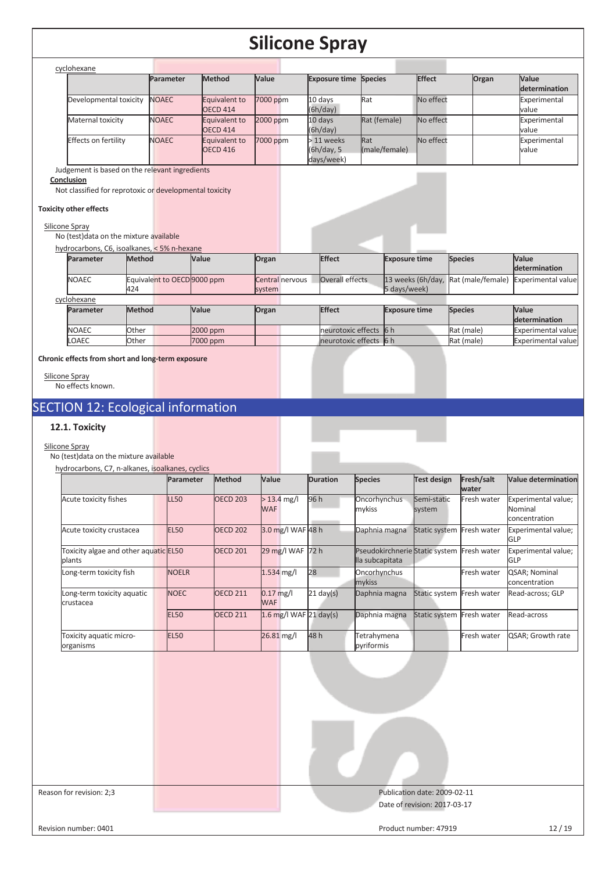| cyclohexane            |              |                                  |          |                                         |                      |           |       |                        |
|------------------------|--------------|----------------------------------|----------|-----------------------------------------|----------------------|-----------|-------|------------------------|
|                        | Parameter    | <b>Method</b>                    | Value    | <b>Exposure time Species</b>            |                      | Effect    | Organ | Value<br>determination |
| Developmental toxicity | <b>NOAEC</b> | Equivalent to<br><b>OECD 414</b> | 7000 ppm | 10 days<br>(6h/day)                     | Rat                  | No effect |       | Experimental<br>value  |
| Maternal toxicity      | <b>NOAEC</b> | Equivalent to<br><b>OECD 414</b> | 2000 ppm | 10 days<br>(6h/day)                     | Rat (female)         | No effect |       | Experimental<br>value  |
| Effects on fertility   | <b>NOAEC</b> | Equivalent to<br><b>OECD 416</b> | 7000 ppm | $>11$ weeks<br>(6h/day, 5<br>days/week) | Rat<br>(male/female) | No effect |       | Experimental<br>value  |

Judgement is based on the relevant ingredients

**Conclusion** 

Not classified for reprotoxic or developmental toxicity

### **Toxicity other effects**

#### Silicone Spray

No (test)data on the mixture available

|                  | hydrocarbons, C6, isoalkanes, < 5% n-hexane |            |                           |                        |                                                     |                |                               |
|------------------|---------------------------------------------|------------|---------------------------|------------------------|-----------------------------------------------------|----------------|-------------------------------|
| <b>Parameter</b> | <b>Method</b>                               | Value      | Organ                     | <b>Effect</b>          | <b>Exposure time</b>                                | <b>Species</b> | <b>Value</b><br>determination |
| <b>NOAEC</b>     | Equivalent to OECD 9000 ppm<br>424          |            | Central nervous<br>system | Overall effects        | 13 weeks (6h/day, Rat (male/female)<br>5 days/week) |                | <b>Experimental value</b>     |
| cyclohexane      |                                             |            |                           |                        |                                                     |                |                               |
| <b>Parameter</b> | <b>Method</b>                               | Value      | Organ                     | <b>Effect</b>          | <b>Exposure time</b>                                | <b>Species</b> | <b>Value</b>                  |
|                  |                                             |            |                           |                        |                                                     |                | determination                 |
| <b>NOAEC</b>     | Other                                       | $2000$ ppm |                           | neurotoxic effects 6 h |                                                     | Rat (male)     | <b>Experimental value</b>     |
| LOAEC            | Other                                       | 7000 ppm   |                           | neurotoxic effects 6 h |                                                     | Rat (male)     | Experimental value            |

**Chronic effects from short and long-term exposure** 

Silicone Spray No effects known.

# SECTION 12: Ecological information

## **12.1. Toxicity**

#### Silicone Spray

No (test)data on the mixture available

| hydrocarbons, C7, n-alkanes, isoalkanes, cyclics |              |                 |                             |                     |                                                   |                       |                     |                                                 |
|--------------------------------------------------|--------------|-----------------|-----------------------------|---------------------|---------------------------------------------------|-----------------------|---------------------|-------------------------------------------------|
|                                                  | Parameter    | <b>Method</b>   | <b>Value</b>                | <b>Duration</b>     | <b>Species</b>                                    | <b>Test design</b>    | Fresh/salt<br>water | <b>Value determination</b>                      |
| Acute toxicity fishes                            | LL50         | <b>OECD 203</b> | $> 13.4$ mg/l<br><b>WAF</b> | 96 h                | Oncorhynchus<br>mykiss                            | Semi-static<br>system | Fresh water         | Experimental value;<br>Nominal<br>concentration |
| Acute toxicity crustacea                         | <b>EL50</b>  | <b>OECD 202</b> | 3.0 mg/l WAF 48 h           |                     | Daphnia magna                                     | Static system         | Fresh water         | Experimental value;<br><b>GLP</b>               |
| Toxicity algae and other aquatic EL50<br>plants  |              | <b>OECD 201</b> | 29 mg/l WAF                 | 72 h                | Pseudokirchnerie Static system<br>lla subcapitata |                       | Fresh water         | Experimental value;<br><b>GLP</b>               |
| Long-term toxicity fish                          | <b>NOELR</b> |                 | $1.534$ mg/l                | 28                  | Oncorhynchus<br>mykiss                            |                       | Fresh water         | QSAR; Nominal<br>concentration                  |
| Long-term toxicity aquatic<br>crustacea          | <b>NOEC</b>  | <b>OECD 211</b> | $0.17$ mg/l<br><b>WAF</b>   | $21 \text{ day}(s)$ | Daphnia magna                                     | Static system         | Fresh water         | Read-across; GLP                                |
|                                                  | <b>EL50</b>  | <b>OECD 211</b> | $1.6$ mg/l WAF 21 day(s)    |                     | Daphnia magna                                     | <b>Static system</b>  | Fresh water         | Read-across                                     |
| Toxicity aquatic micro-<br>organisms             | <b>EL50</b>  |                 | 26.81 mg/l                  | 48h                 | Tetrahymena<br>pyriformis                         |                       | Fresh water         | QSAR; Growth rate                               |

| Reason for revision: 2;3 | Publication date: 2009-02-11<br>Date of revision: 2017-03-17 |
|--------------------------|--------------------------------------------------------------|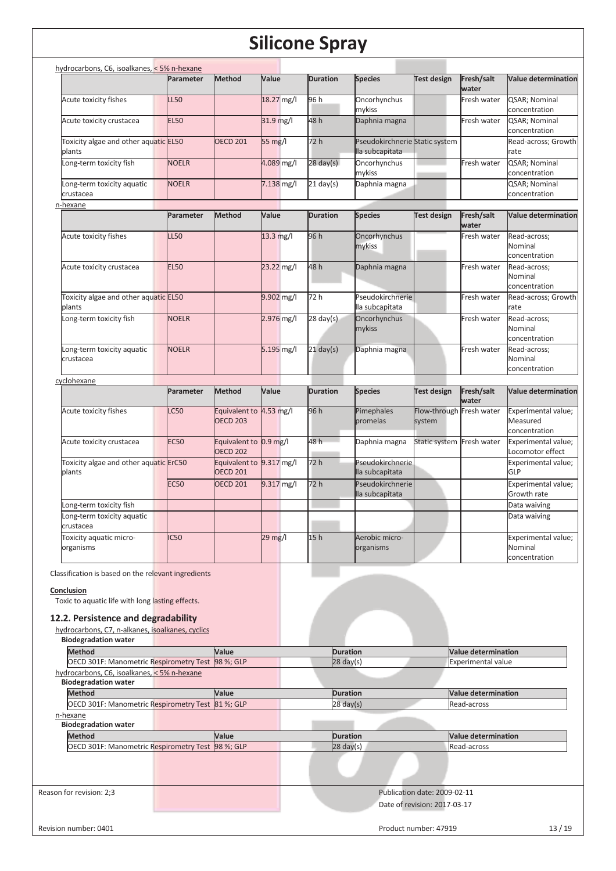| hydrocarbons, C6, isoalkanes, < 5% n-hexane                                                                           |                 |                                             |              |                     |                                                   |                                    |                                                         |                                                  |
|-----------------------------------------------------------------------------------------------------------------------|-----------------|---------------------------------------------|--------------|---------------------|---------------------------------------------------|------------------------------------|---------------------------------------------------------|--------------------------------------------------|
|                                                                                                                       | Parameter       | <b>Method</b>                               | Value        | <b>Duration</b>     | <b>Species</b>                                    | <b>Test design</b>                 | Fresh/salt<br>water                                     | <b>Value determination</b>                       |
| Acute toxicity fishes                                                                                                 | <b>L50</b>      |                                             | 18.27 mg/l   | 96 h                | Oncorhynchus<br>mykiss                            |                                    | Fresh water                                             | QSAR; Nominal<br>concentration                   |
| Acute toxicity crustacea                                                                                              | <b>EL50</b>     |                                             | 31.9 mg/l    | 48 h                | Daphnia magna                                     |                                    | Fresh water                                             | QSAR; Nominal<br>concentration                   |
| Toxicity algae and other aquatic <b>EL50</b><br>plants                                                                |                 | <b>OECD 201</b>                             | 55 mg/l      | 72 h                | Pseudokirchnerie Static system<br>lla subcapitata |                                    |                                                         | Read-across; Growth<br>rate                      |
| Long-term toxicity fish                                                                                               | <b>NOELR</b>    |                                             | 4.089 mg/l   | $28 \text{ day}(s)$ | Oncorhynchus<br>mykiss                            |                                    | Fresh water                                             | QSAR; Nominal<br>concentration                   |
| Long-term toxicity aquatic<br>crustacea                                                                               | <b>NOELR</b>    |                                             | $7.138$ mg/l | $21$ day(s)         | Daphnia magna                                     |                                    |                                                         | QSAR; Nominal<br>concentration                   |
| n-hexane                                                                                                              |                 |                                             |              |                     |                                                   |                                    |                                                         |                                                  |
|                                                                                                                       | Parameter       | <b>Method</b>                               | Value        | <b>Duration</b>     | <b>Species</b>                                    | Test design                        | Fresh/salt<br>water                                     | <b>Value determination</b>                       |
| Acute toxicity fishes                                                                                                 | LL50            |                                             | 13.3 mg/l    | 96 h                | Oncorhynchus<br>mykiss                            |                                    | Fresh water                                             | Read-across;<br>Nominal<br>concentration         |
| Acute toxicity crustacea                                                                                              | <b>EL50</b>     |                                             | 23.22 mg/l   | 48 h                | Daphnia magna                                     |                                    | Fresh water                                             | Read-across;<br>Nominal<br>concentration         |
| Toxicity algae and other aquatic <b>EL50</b><br>plants                                                                |                 |                                             | 9.902 mg/l   | 72 h                | Pseudokirchnerie<br>lla subcapitata               |                                    | Fresh water                                             | Read-across; Growth<br>rate                      |
| Long-term toxicity fish                                                                                               | <b>NOELR</b>    |                                             | 2.976 mg/l   | $28 \text{ day}(s)$ | Oncorhynchus<br>mykiss                            |                                    | Fresh water                                             | Read-across;<br>Nominal<br>concentration         |
| Long-term toxicity aquatic<br>crustacea                                                                               | <b>NOELR</b>    |                                             | 5.195 mg/l   | $21$ day(s)         | Daphnia magna                                     |                                    | Fresh water                                             | Read-across;<br>Nominal<br>concentration         |
| cyclohexane                                                                                                           |                 |                                             |              |                     |                                                   |                                    |                                                         |                                                  |
|                                                                                                                       | Parameter       | <b>Method</b>                               | Value        | <b>Duration</b>     | <b>Species</b>                                    | <b>Test design</b>                 | Fresh/salt<br>water                                     | <b>Value determination</b>                       |
| Acute toxicity fishes                                                                                                 | C <sub>50</sub> | Equivalent to 4.53 mg/l<br><b>OECD 203</b>  |              | 96 h                | Pimephales<br>promelas                            | Flow-through Fresh water<br>system |                                                         | Experimental value;<br>Measured<br>concentration |
| Acute toxicity crustacea                                                                                              | <b>EC50</b>     | Equivalent to 0.9 mg/l<br><b>OECD 202</b>   |              | 48 h                | Daphnia magna                                     | Static system Fresh water          |                                                         | Experimental value;<br>Locomotor effect          |
| Toxicity algae and other aquatic ErC50<br>plants                                                                      |                 | Equivalent to 9.317 mg/l<br><b>OECD 201</b> |              | 72 h                | Pseudokirchnerie<br>lla subcapitata               |                                    |                                                         | Experimental value;<br><b>GLP</b>                |
|                                                                                                                       | <b>EC50</b>     | <b>OECD 201</b>                             | 9.317 mg/l   | 72 h                | Pseudokirchnerie<br>lla subcapitata               |                                    |                                                         | Experimental value;<br>Growth rate               |
| ong-term toxicity fish                                                                                                |                 |                                             |              |                     |                                                   |                                    |                                                         | Data waiving                                     |
| Long-term toxicity aquatic<br>crustacea                                                                               |                 |                                             |              |                     |                                                   |                                    |                                                         | Data waiving                                     |
| Toxicity aquatic micro-<br>organisms                                                                                  | IC50            |                                             | 29 mg/l      | 15h                 | Aerobic micro-<br>organisms                       |                                    |                                                         | Experimental value;<br>Nominal<br>concentration  |
| Classification is based on the relevant ingredients<br>Conclusion<br>Toxic to aquatic life with long lasting effects. |                 |                                             |              |                     |                                                   |                                    |                                                         |                                                  |
| 12.2. Persistence and degradability                                                                                   |                 |                                             |              |                     |                                                   |                                    |                                                         |                                                  |
| hydrocarbons, C7, n-alkanes, isoalkanes, cyclics<br><b>Biodegradation water</b>                                       |                 |                                             |              |                     |                                                   |                                    |                                                         |                                                  |
| <b>Method</b><br>OECD 301F: Manometric Respirometry Test 98%; GLP                                                     |                 | Value                                       |              |                     | <b>Duration</b><br>$28$ day(s)                    |                                    | <b>Value determination</b><br><b>Experimental value</b> |                                                  |
| hydrocarbons, C6, isoalkanes, < 5% n-hexane                                                                           |                 |                                             |              |                     |                                                   |                                    |                                                         |                                                  |
| <b>Biodegradation water</b><br><b>Method</b>                                                                          |                 | Value                                       |              |                     | <b>Duration</b>                                   |                                    | <b>Value determination</b>                              |                                                  |
| OECD 301F: Manometric Respirometry Test 81 %; GLP                                                                     |                 |                                             |              |                     | $28$ day(s)                                       |                                    | Read-across                                             |                                                  |
| n-hexane                                                                                                              |                 |                                             |              |                     |                                                   |                                    |                                                         |                                                  |
| <b>Biodegradation water</b><br><b>Method</b>                                                                          |                 | Value                                       |              |                     | <b>Duration</b>                                   |                                    | <b>Value determination</b>                              |                                                  |
| OECD 301F: Manometric Respirometry Test 98 %; GLP                                                                     |                 |                                             |              |                     | $28 \text{ day}(s)$                               |                                    | Read-across                                             |                                                  |
|                                                                                                                       |                 |                                             |              |                     |                                                   |                                    |                                                         |                                                  |

Reason for revision: 2;3 Publication date: 2009-02-11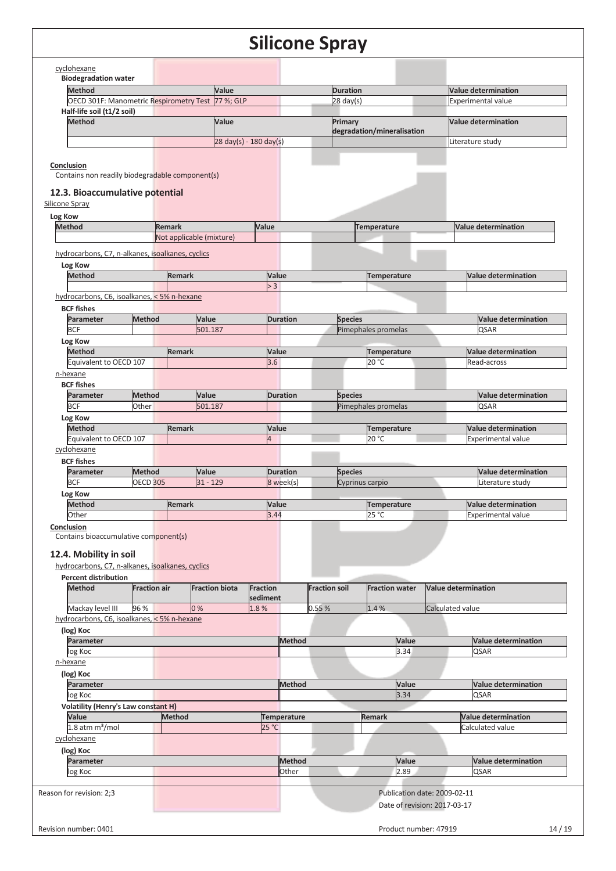| <b>Biodegradation water</b>                                                                                                                        |                     |               |                                          |                |                 |                      |                 |                            |                                                              |
|----------------------------------------------------------------------------------------------------------------------------------------------------|---------------------|---------------|------------------------------------------|----------------|-----------------|----------------------|-----------------|----------------------------|--------------------------------------------------------------|
| <b>Method</b>                                                                                                                                      |                     |               | Value                                    |                |                 |                      | <b>Duration</b> |                            | <b>Value determination</b>                                   |
| OECD 301F: Manometric Respirometry Test 77 %; GLP                                                                                                  |                     |               |                                          |                |                 |                      | $28$ day(s)     |                            | <b>Experimental value</b>                                    |
| Half-life soil (t1/2 soil)                                                                                                                         |                     |               |                                          |                |                 |                      |                 |                            |                                                              |
| <b>Method</b>                                                                                                                                      |                     |               | Value                                    |                |                 |                      | Primary         |                            | <b>Value determination</b>                                   |
|                                                                                                                                                    |                     |               |                                          |                |                 |                      |                 | degradation/mineralisation |                                                              |
|                                                                                                                                                    |                     |               | $28 \text{ day}(s) - 180 \text{ day}(s)$ |                |                 |                      |                 |                            | Literature study                                             |
| Conclusion<br>Contains non readily biodegradable component(s)                                                                                      |                     |               |                                          |                |                 |                      |                 |                            |                                                              |
| 12.3. Bioaccumulative potential<br>Silicone Spray                                                                                                  |                     |               |                                          |                |                 |                      |                 |                            |                                                              |
| Log Kow                                                                                                                                            |                     |               |                                          |                |                 |                      |                 |                            |                                                              |
| <b>Method</b>                                                                                                                                      |                     | <b>Remark</b> |                                          | Value          |                 |                      |                 | <b>Temperature</b>         | <b>Value determination</b>                                   |
|                                                                                                                                                    |                     |               | Not applicable (mixture)                 |                |                 |                      |                 |                            |                                                              |
| hydrocarbons, C7, n-alkanes, isoalkanes, cyclics                                                                                                   |                     |               |                                          |                |                 |                      |                 |                            |                                                              |
|                                                                                                                                                    |                     |               |                                          |                |                 |                      |                 |                            |                                                              |
| Log Kow                                                                                                                                            |                     | <b>Remark</b> |                                          |                |                 |                      |                 |                            |                                                              |
| <b>Method</b>                                                                                                                                      |                     |               |                                          |                | Value           |                      |                 | <b>Temperature</b>         | <b>Value determination</b>                                   |
|                                                                                                                                                    |                     |               |                                          |                | > 3             |                      |                 |                            |                                                              |
| hydrocarbons, C6, isoalkanes, < 5% n-hexane                                                                                                        |                     |               |                                          |                |                 |                      |                 |                            |                                                              |
| <b>BCF fishes</b>                                                                                                                                  |                     |               |                                          |                |                 |                      |                 |                            |                                                              |
| Parameter                                                                                                                                          | Method              |               | Value                                    |                | <b>Duration</b> |                      | <b>Species</b>  |                            | Value determination                                          |
| <b>BCF</b>                                                                                                                                         |                     |               | 501.187                                  |                |                 |                      |                 | Pimephales promelas        | <b>QSAR</b>                                                  |
| Log Kow                                                                                                                                            |                     |               |                                          |                |                 |                      |                 |                            |                                                              |
| <b>Method</b>                                                                                                                                      |                     | <b>Remark</b> |                                          |                | Value           |                      |                 | Temperature                | <b>Value determination</b>                                   |
| Equivalent to OECD 107                                                                                                                             |                     |               |                                          |                | 3.6             |                      |                 | 20 °C                      | Read-across                                                  |
| n-hexane                                                                                                                                           |                     |               |                                          |                |                 |                      |                 |                            |                                                              |
| <b>BCF fishes</b>                                                                                                                                  |                     |               |                                          |                |                 |                      |                 |                            |                                                              |
| Parameter                                                                                                                                          | <b>Method</b>       |               | Value                                    |                | <b>Duration</b> |                      | <b>Species</b>  |                            | <b>Value determination</b>                                   |
| <b>BCF</b>                                                                                                                                         | Other               |               | 501.187                                  |                |                 |                      |                 | Pimephales promelas        | <b>QSAR</b>                                                  |
| Log Kow                                                                                                                                            |                     |               |                                          |                |                 |                      |                 |                            |                                                              |
| <b>Method</b>                                                                                                                                      |                     | <b>Remark</b> |                                          |                | Value           |                      |                 | Temperature                | <b>Value determination</b>                                   |
| Equivalent to OECD 107                                                                                                                             |                     |               |                                          | $\overline{4}$ |                 |                      |                 | 20 °C                      | <b>Experimental value</b>                                    |
| cyclohexane                                                                                                                                        |                     |               |                                          |                |                 |                      |                 |                            |                                                              |
| <b>BCF fishes</b>                                                                                                                                  |                     |               |                                          |                |                 |                      |                 |                            |                                                              |
| Parameter                                                                                                                                          | <b>Method</b>       |               | Value                                    |                | <b>Duration</b> |                      | <b>Species</b>  |                            | <b>Value determination</b>                                   |
| <b>BCF</b>                                                                                                                                         | <b>OECD 305</b>     |               | $31 - 129$                               |                | 8 week(s)       |                      | Cyprinus carpio |                            | Literature study                                             |
| Log Kow                                                                                                                                            |                     |               |                                          |                |                 |                      |                 |                            |                                                              |
| <b>Method</b>                                                                                                                                      |                     | <b>Remark</b> |                                          |                | Value           |                      |                 | <b>Temperature</b>         | <b>Value determination</b>                                   |
|                                                                                                                                                    |                     |               |                                          |                |                 |                      |                 |                            |                                                              |
|                                                                                                                                                    |                     |               |                                          |                | 3.44            |                      |                 | 25 °C                      | <b>Experimental value</b>                                    |
| Other<br>Conclusion                                                                                                                                |                     |               |                                          |                |                 |                      |                 |                            |                                                              |
| Contains bioaccumulative component(s)<br>12.4. Mobility in soil<br>hydrocarbons, C7, n-alkanes, isoalkanes, cyclics<br><b>Percent distribution</b> |                     |               |                                          |                |                 |                      |                 |                            |                                                              |
| <b>Method</b>                                                                                                                                      | <b>Fraction air</b> |               | <b>Fraction biota</b>                    | Fraction       |                 | <b>Fraction soil</b> |                 | <b>Fraction water</b>      | <b>Value determination</b>                                   |
|                                                                                                                                                    |                     |               |                                          | sediment       |                 |                      |                 |                            |                                                              |
| Mackay level III                                                                                                                                   | 96 %                |               | 0%                                       | 1.8%           |                 | 0.55%                |                 | 1.4%                       | Calculated value                                             |
| hydrocarbons, C6, isoalkanes, < 5% n-hexane                                                                                                        |                     |               |                                          |                |                 |                      |                 |                            |                                                              |
| (log) Koc                                                                                                                                          |                     |               |                                          |                |                 |                      |                 |                            |                                                              |
| Parameter                                                                                                                                          |                     |               |                                          |                | <b>Method</b>   |                      |                 | Value                      | <b>Value determination</b>                                   |
| log Koc                                                                                                                                            |                     |               |                                          |                |                 |                      |                 | 3.34                       | <b>QSAR</b>                                                  |
| n-hexane                                                                                                                                           |                     |               |                                          |                |                 |                      |                 |                            |                                                              |
| (log) Koc                                                                                                                                          |                     |               |                                          |                |                 |                      |                 |                            |                                                              |
| Parameter                                                                                                                                          |                     |               |                                          |                | <b>Method</b>   |                      |                 | Value                      | <b>Value determination</b>                                   |
| log Koc                                                                                                                                            |                     |               |                                          |                |                 |                      |                 | 3.34                       | <b>QSAR</b>                                                  |
| <b>Volatility (Henry's Law constant H)</b>                                                                                                         |                     |               |                                          |                |                 |                      |                 |                            |                                                              |
| Value                                                                                                                                              |                     | <b>Method</b> |                                          |                | Temperature     |                      |                 | Remark                     | <b>Value determination</b>                                   |
| $1.8$ atm $m^3$ /mol                                                                                                                               |                     |               |                                          | 25 °C          |                 |                      |                 |                            | Calculated value                                             |
|                                                                                                                                                    |                     |               |                                          |                |                 |                      |                 |                            |                                                              |
| cyclohexane                                                                                                                                        |                     |               |                                          |                |                 |                      |                 |                            |                                                              |
| (log) Koc                                                                                                                                          |                     |               |                                          |                |                 |                      |                 |                            |                                                              |
| Parameter                                                                                                                                          |                     |               |                                          |                | <b>Method</b>   |                      |                 | Value                      | <b>Value determination</b>                                   |
| log Koc                                                                                                                                            |                     |               |                                          |                | Other           |                      |                 | 2.89                       | <b>QSAR</b>                                                  |
|                                                                                                                                                    |                     |               |                                          |                |                 |                      |                 |                            |                                                              |
| Reason for revision: 2;3                                                                                                                           |                     |               |                                          |                |                 |                      |                 |                            | Publication date: 2009-02-11<br>Date of revision: 2017-03-17 |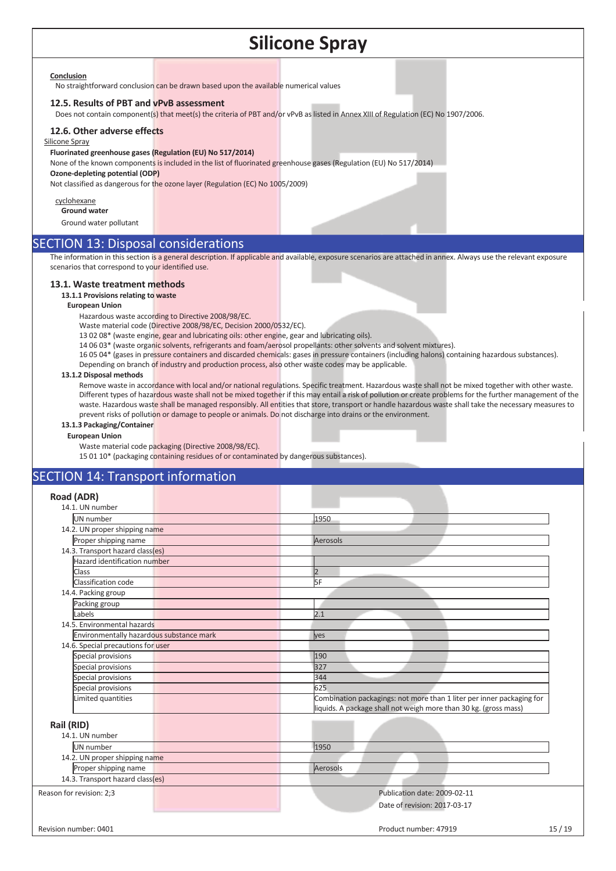#### **Conclusion**

No straightforward conclusion can be drawn based upon the available numerical values

#### **12.5. Results of PBT and vPvB assessment**

Does not contain component(s) that meet(s) the criteria of PBT and/or vPvB as listed in Annex XIII of Regulation (EC) No 1907/2006.

#### **12.6. Other adverse effects**

#### Silicone Spray

#### **Fluorinated greenhouse gases (Regulation (EU) No 517/2014)**

None of the known components is included in the list of fluorinated greenhouse gases (Regulation (EU) No 517/2014) **Ozone-depleting potential (ODP)** 

Not classified as dangerous for the ozone layer (Regulation (EC) No 1005/2009)

cyclohexane **Ground water** 

Ground water pollutant

### SECTION 13: Disposal considerations

The information in this section is a general description. If applicable and available, exposure scenarios are attached in annex. Always use the relevant exposure scenarios that correspond to your identified use.

#### **13.1. Waste treatment methods**

#### **13.1.1 Provisions relating to waste**

#### **European Union**

Hazardous waste according to Directive 2008/98/EC.

Waste material code (Directive 2008/98/EC, Decision 2000/0532/EC).

13 02 08\* (waste engine, gear and lubricating oils: other engine, gear and lubricating oils).

14 06 03\* (waste organic solvents, refrigerants and foam/aerosol propellants: other solvents and solvent mixtures).

16 05 04\* (gases in pressure containers and discarded chemicals: gases in pressure containers (including halons) containing hazardous substances).

Depending on branch of industry and production process, also other waste codes may be applicable.

#### **13.1.2 Disposal methods**

Remove waste in accordance with local and/or national regulations. Specific treatment. Hazardous waste shall not be mixed together with other waste. Different types of hazardous waste shall not be mixed together if this may entail a risk of pollution or create problems for the further management of the waste. Hazardous waste shall be managed responsibly. All entities that store, transport or handle hazardous waste shall take the necessary measures to prevent risks of pollution or damage to people or animals. Do not discharge into drains or the environment.

#### **13.1.3 Packaging/Container**

#### **European Union**

Waste material code packaging (Directive 2008/98/EC).

15 01 10\* (packaging containing residues of or contaminated by dangerous substances).

## SECTION 14: Transport information

| Road (ADR)                               |                                                                                                                                           |
|------------------------------------------|-------------------------------------------------------------------------------------------------------------------------------------------|
| 14.1. UN number                          |                                                                                                                                           |
| UN number                                | 1950                                                                                                                                      |
| 14.2. UN proper shipping name            |                                                                                                                                           |
| Proper shipping name                     | Aerosols                                                                                                                                  |
| 14.3. Transport hazard class(es)         |                                                                                                                                           |
| Hazard identification number             |                                                                                                                                           |
| Class                                    | l2                                                                                                                                        |
| Classification code                      | 5F                                                                                                                                        |
| 14.4. Packing group                      |                                                                                                                                           |
| Packing group                            |                                                                                                                                           |
| Labels                                   | 2.1                                                                                                                                       |
| 14.5. Environmental hazards              |                                                                                                                                           |
| Environmentally hazardous substance mark | lyes                                                                                                                                      |
| 14.6. Special precautions for user       |                                                                                                                                           |
| Special provisions                       | 190                                                                                                                                       |
| Special provisions                       | 327                                                                                                                                       |
| Special provisions                       | 344                                                                                                                                       |
| Special provisions                       | 625                                                                                                                                       |
| Limited quantities                       | Combination packagings: not more than 1 liter per inner packaging for<br>liquids. A package shall not weigh more than 30 kg. (gross mass) |
| Rail (RID)                               |                                                                                                                                           |
| 14.1. UN number                          |                                                                                                                                           |
| UN number                                | 1950                                                                                                                                      |
| 14.2. UN proper shipping name            |                                                                                                                                           |
| Proper shipping name                     | Aerosols                                                                                                                                  |
| 14.3. Transport hazard class(es)         |                                                                                                                                           |
|                                          |                                                                                                                                           |
| Reason for revision: 2;3                 | Publication date: 2009-02-11                                                                                                              |
|                                          | Date of revision: 2017-03-17                                                                                                              |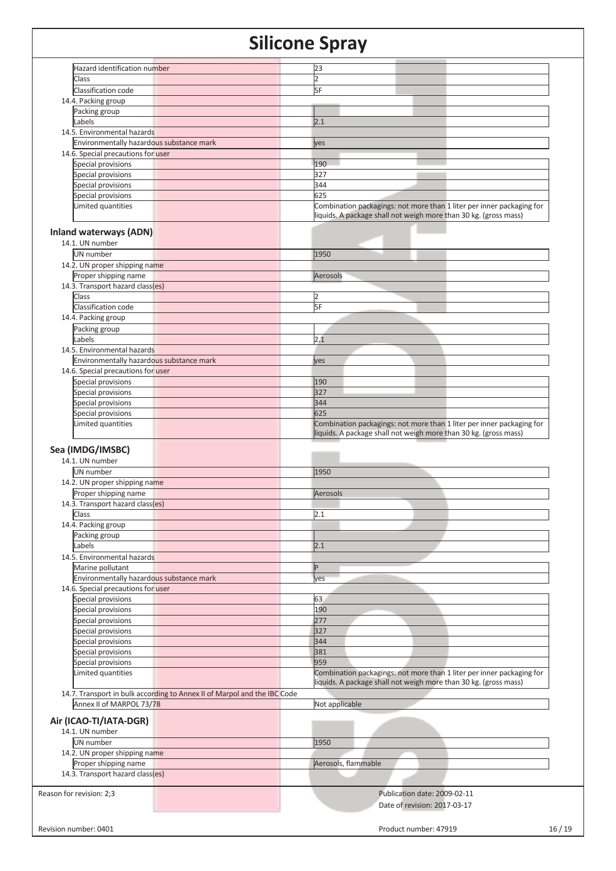|                              | Hazard identification number<br>23<br>2<br>5F<br>2.1<br>14.5. Environmental hazards<br>Environmentally hazardous substance mark<br>yes<br>14.6. Special precautions for user<br>190<br>327<br>344<br>625<br>Combination packagings: not more than 1 liter per inner packaging for<br>liquids. A package shall not weigh more than 30 kg. (gross mass)<br><b>Inland waterways (ADN)</b><br>1950<br>14.2. UN proper shipping name<br>Proper shipping name<br>Aerosols<br>14.3. Transport hazard class(es)<br>2<br>5F<br>2.1<br>14.5. Environmental hazards<br>Environmentally hazardous substance mark<br>yes<br>14.6. Special precautions for user<br>190<br>327<br>344<br>625<br>Combination packagings: not more than 1 liter per inner packaging for<br>liquids. A package shall not weigh more than 30 kg. (gross mass)<br>1950<br>14.2. UN proper shipping name<br>Proper shipping name<br>Aerosols<br>14.3. Transport hazard class(es)<br>2.1 |
|------------------------------|----------------------------------------------------------------------------------------------------------------------------------------------------------------------------------------------------------------------------------------------------------------------------------------------------------------------------------------------------------------------------------------------------------------------------------------------------------------------------------------------------------------------------------------------------------------------------------------------------------------------------------------------------------------------------------------------------------------------------------------------------------------------------------------------------------------------------------------------------------------------------------------------------------------------------------------------------|
|                              |                                                                                                                                                                                                                                                                                                                                                                                                                                                                                                                                                                                                                                                                                                                                                                                                                                                                                                                                                    |
|                              |                                                                                                                                                                                                                                                                                                                                                                                                                                                                                                                                                                                                                                                                                                                                                                                                                                                                                                                                                    |
|                              |                                                                                                                                                                                                                                                                                                                                                                                                                                                                                                                                                                                                                                                                                                                                                                                                                                                                                                                                                    |
|                              |                                                                                                                                                                                                                                                                                                                                                                                                                                                                                                                                                                                                                                                                                                                                                                                                                                                                                                                                                    |
|                              |                                                                                                                                                                                                                                                                                                                                                                                                                                                                                                                                                                                                                                                                                                                                                                                                                                                                                                                                                    |
|                              |                                                                                                                                                                                                                                                                                                                                                                                                                                                                                                                                                                                                                                                                                                                                                                                                                                                                                                                                                    |
|                              |                                                                                                                                                                                                                                                                                                                                                                                                                                                                                                                                                                                                                                                                                                                                                                                                                                                                                                                                                    |
|                              |                                                                                                                                                                                                                                                                                                                                                                                                                                                                                                                                                                                                                                                                                                                                                                                                                                                                                                                                                    |
|                              |                                                                                                                                                                                                                                                                                                                                                                                                                                                                                                                                                                                                                                                                                                                                                                                                                                                                                                                                                    |
|                              |                                                                                                                                                                                                                                                                                                                                                                                                                                                                                                                                                                                                                                                                                                                                                                                                                                                                                                                                                    |
|                              |                                                                                                                                                                                                                                                                                                                                                                                                                                                                                                                                                                                                                                                                                                                                                                                                                                                                                                                                                    |
|                              |                                                                                                                                                                                                                                                                                                                                                                                                                                                                                                                                                                                                                                                                                                                                                                                                                                                                                                                                                    |
|                              |                                                                                                                                                                                                                                                                                                                                                                                                                                                                                                                                                                                                                                                                                                                                                                                                                                                                                                                                                    |
|                              |                                                                                                                                                                                                                                                                                                                                                                                                                                                                                                                                                                                                                                                                                                                                                                                                                                                                                                                                                    |
|                              |                                                                                                                                                                                                                                                                                                                                                                                                                                                                                                                                                                                                                                                                                                                                                                                                                                                                                                                                                    |
|                              |                                                                                                                                                                                                                                                                                                                                                                                                                                                                                                                                                                                                                                                                                                                                                                                                                                                                                                                                                    |
|                              |                                                                                                                                                                                                                                                                                                                                                                                                                                                                                                                                                                                                                                                                                                                                                                                                                                                                                                                                                    |
|                              |                                                                                                                                                                                                                                                                                                                                                                                                                                                                                                                                                                                                                                                                                                                                                                                                                                                                                                                                                    |
|                              |                                                                                                                                                                                                                                                                                                                                                                                                                                                                                                                                                                                                                                                                                                                                                                                                                                                                                                                                                    |
|                              |                                                                                                                                                                                                                                                                                                                                                                                                                                                                                                                                                                                                                                                                                                                                                                                                                                                                                                                                                    |
|                              |                                                                                                                                                                                                                                                                                                                                                                                                                                                                                                                                                                                                                                                                                                                                                                                                                                                                                                                                                    |
|                              |                                                                                                                                                                                                                                                                                                                                                                                                                                                                                                                                                                                                                                                                                                                                                                                                                                                                                                                                                    |
|                              |                                                                                                                                                                                                                                                                                                                                                                                                                                                                                                                                                                                                                                                                                                                                                                                                                                                                                                                                                    |
|                              |                                                                                                                                                                                                                                                                                                                                                                                                                                                                                                                                                                                                                                                                                                                                                                                                                                                                                                                                                    |
|                              |                                                                                                                                                                                                                                                                                                                                                                                                                                                                                                                                                                                                                                                                                                                                                                                                                                                                                                                                                    |
|                              |                                                                                                                                                                                                                                                                                                                                                                                                                                                                                                                                                                                                                                                                                                                                                                                                                                                                                                                                                    |
|                              |                                                                                                                                                                                                                                                                                                                                                                                                                                                                                                                                                                                                                                                                                                                                                                                                                                                                                                                                                    |
|                              |                                                                                                                                                                                                                                                                                                                                                                                                                                                                                                                                                                                                                                                                                                                                                                                                                                                                                                                                                    |
|                              |                                                                                                                                                                                                                                                                                                                                                                                                                                                                                                                                                                                                                                                                                                                                                                                                                                                                                                                                                    |
|                              |                                                                                                                                                                                                                                                                                                                                                                                                                                                                                                                                                                                                                                                                                                                                                                                                                                                                                                                                                    |
|                              |                                                                                                                                                                                                                                                                                                                                                                                                                                                                                                                                                                                                                                                                                                                                                                                                                                                                                                                                                    |
|                              |                                                                                                                                                                                                                                                                                                                                                                                                                                                                                                                                                                                                                                                                                                                                                                                                                                                                                                                                                    |
|                              |                                                                                                                                                                                                                                                                                                                                                                                                                                                                                                                                                                                                                                                                                                                                                                                                                                                                                                                                                    |
|                              |                                                                                                                                                                                                                                                                                                                                                                                                                                                                                                                                                                                                                                                                                                                                                                                                                                                                                                                                                    |
|                              |                                                                                                                                                                                                                                                                                                                                                                                                                                                                                                                                                                                                                                                                                                                                                                                                                                                                                                                                                    |
|                              |                                                                                                                                                                                                                                                                                                                                                                                                                                                                                                                                                                                                                                                                                                                                                                                                                                                                                                                                                    |
|                              |                                                                                                                                                                                                                                                                                                                                                                                                                                                                                                                                                                                                                                                                                                                                                                                                                                                                                                                                                    |
|                              |                                                                                                                                                                                                                                                                                                                                                                                                                                                                                                                                                                                                                                                                                                                                                                                                                                                                                                                                                    |
|                              |                                                                                                                                                                                                                                                                                                                                                                                                                                                                                                                                                                                                                                                                                                                                                                                                                                                                                                                                                    |
|                              |                                                                                                                                                                                                                                                                                                                                                                                                                                                                                                                                                                                                                                                                                                                                                                                                                                                                                                                                                    |
|                              |                                                                                                                                                                                                                                                                                                                                                                                                                                                                                                                                                                                                                                                                                                                                                                                                                                                                                                                                                    |
|                              |                                                                                                                                                                                                                                                                                                                                                                                                                                                                                                                                                                                                                                                                                                                                                                                                                                                                                                                                                    |
|                              |                                                                                                                                                                                                                                                                                                                                                                                                                                                                                                                                                                                                                                                                                                                                                                                                                                                                                                                                                    |
|                              |                                                                                                                                                                                                                                                                                                                                                                                                                                                                                                                                                                                                                                                                                                                                                                                                                                                                                                                                                    |
|                              |                                                                                                                                                                                                                                                                                                                                                                                                                                                                                                                                                                                                                                                                                                                                                                                                                                                                                                                                                    |
|                              |                                                                                                                                                                                                                                                                                                                                                                                                                                                                                                                                                                                                                                                                                                                                                                                                                                                                                                                                                    |
|                              |                                                                                                                                                                                                                                                                                                                                                                                                                                                                                                                                                                                                                                                                                                                                                                                                                                                                                                                                                    |
|                              |                                                                                                                                                                                                                                                                                                                                                                                                                                                                                                                                                                                                                                                                                                                                                                                                                                                                                                                                                    |
|                              |                                                                                                                                                                                                                                                                                                                                                                                                                                                                                                                                                                                                                                                                                                                                                                                                                                                                                                                                                    |
|                              |                                                                                                                                                                                                                                                                                                                                                                                                                                                                                                                                                                                                                                                                                                                                                                                                                                                                                                                                                    |
|                              |                                                                                                                                                                                                                                                                                                                                                                                                                                                                                                                                                                                                                                                                                                                                                                                                                                                                                                                                                    |
|                              |                                                                                                                                                                                                                                                                                                                                                                                                                                                                                                                                                                                                                                                                                                                                                                                                                                                                                                                                                    |
|                              |                                                                                                                                                                                                                                                                                                                                                                                                                                                                                                                                                                                                                                                                                                                                                                                                                                                                                                                                                    |
|                              |                                                                                                                                                                                                                                                                                                                                                                                                                                                                                                                                                                                                                                                                                                                                                                                                                                                                                                                                                    |
|                              |                                                                                                                                                                                                                                                                                                                                                                                                                                                                                                                                                                                                                                                                                                                                                                                                                                                                                                                                                    |
|                              |                                                                                                                                                                                                                                                                                                                                                                                                                                                                                                                                                                                                                                                                                                                                                                                                                                                                                                                                                    |
|                              |                                                                                                                                                                                                                                                                                                                                                                                                                                                                                                                                                                                                                                                                                                                                                                                                                                                                                                                                                    |
|                              |                                                                                                                                                                                                                                                                                                                                                                                                                                                                                                                                                                                                                                                                                                                                                                                                                                                                                                                                                    |
|                              |                                                                                                                                                                                                                                                                                                                                                                                                                                                                                                                                                                                                                                                                                                                                                                                                                                                                                                                                                    |
|                              |                                                                                                                                                                                                                                                                                                                                                                                                                                                                                                                                                                                                                                                                                                                                                                                                                                                                                                                                                    |
|                              | 2.1                                                                                                                                                                                                                                                                                                                                                                                                                                                                                                                                                                                                                                                                                                                                                                                                                                                                                                                                                |
|                              | 14.5. Environmental hazards                                                                                                                                                                                                                                                                                                                                                                                                                                                                                                                                                                                                                                                                                                                                                                                                                                                                                                                        |
|                              | IP                                                                                                                                                                                                                                                                                                                                                                                                                                                                                                                                                                                                                                                                                                                                                                                                                                                                                                                                                 |
|                              |                                                                                                                                                                                                                                                                                                                                                                                                                                                                                                                                                                                                                                                                                                                                                                                                                                                                                                                                                    |
|                              | Environmentally hazardous substance mark<br>yes                                                                                                                                                                                                                                                                                                                                                                                                                                                                                                                                                                                                                                                                                                                                                                                                                                                                                                    |
|                              | 14.6. Special precautions for user                                                                                                                                                                                                                                                                                                                                                                                                                                                                                                                                                                                                                                                                                                                                                                                                                                                                                                                 |
|                              |                                                                                                                                                                                                                                                                                                                                                                                                                                                                                                                                                                                                                                                                                                                                                                                                                                                                                                                                                    |
|                              | 63                                                                                                                                                                                                                                                                                                                                                                                                                                                                                                                                                                                                                                                                                                                                                                                                                                                                                                                                                 |
|                              | 190                                                                                                                                                                                                                                                                                                                                                                                                                                                                                                                                                                                                                                                                                                                                                                                                                                                                                                                                                |
|                              | 277                                                                                                                                                                                                                                                                                                                                                                                                                                                                                                                                                                                                                                                                                                                                                                                                                                                                                                                                                |
|                              |                                                                                                                                                                                                                                                                                                                                                                                                                                                                                                                                                                                                                                                                                                                                                                                                                                                                                                                                                    |
|                              | 327                                                                                                                                                                                                                                                                                                                                                                                                                                                                                                                                                                                                                                                                                                                                                                                                                                                                                                                                                |
|                              | 344                                                                                                                                                                                                                                                                                                                                                                                                                                                                                                                                                                                                                                                                                                                                                                                                                                                                                                                                                |
|                              | 381                                                                                                                                                                                                                                                                                                                                                                                                                                                                                                                                                                                                                                                                                                                                                                                                                                                                                                                                                |
|                              |                                                                                                                                                                                                                                                                                                                                                                                                                                                                                                                                                                                                                                                                                                                                                                                                                                                                                                                                                    |
|                              | 959                                                                                                                                                                                                                                                                                                                                                                                                                                                                                                                                                                                                                                                                                                                                                                                                                                                                                                                                                |
|                              | Combination packagings: not more than 1 liter per inner packaging for                                                                                                                                                                                                                                                                                                                                                                                                                                                                                                                                                                                                                                                                                                                                                                                                                                                                              |
|                              |                                                                                                                                                                                                                                                                                                                                                                                                                                                                                                                                                                                                                                                                                                                                                                                                                                                                                                                                                    |
|                              | liquids. A package shall not weigh more than 30 kg. (gross mass)                                                                                                                                                                                                                                                                                                                                                                                                                                                                                                                                                                                                                                                                                                                                                                                                                                                                                   |
|                              | 14.7. Transport in bulk according to Annex II of Marpol and the IBC Code                                                                                                                                                                                                                                                                                                                                                                                                                                                                                                                                                                                                                                                                                                                                                                                                                                                                           |
|                              | Not applicable<br>Annex II of MARPOL 73/78                                                                                                                                                                                                                                                                                                                                                                                                                                                                                                                                                                                                                                                                                                                                                                                                                                                                                                         |
|                              |                                                                                                                                                                                                                                                                                                                                                                                                                                                                                                                                                                                                                                                                                                                                                                                                                                                                                                                                                    |
|                              |                                                                                                                                                                                                                                                                                                                                                                                                                                                                                                                                                                                                                                                                                                                                                                                                                                                                                                                                                    |
|                              | Air (ICAO-TI/IATA-DGR)                                                                                                                                                                                                                                                                                                                                                                                                                                                                                                                                                                                                                                                                                                                                                                                                                                                                                                                             |
|                              |                                                                                                                                                                                                                                                                                                                                                                                                                                                                                                                                                                                                                                                                                                                                                                                                                                                                                                                                                    |
|                              | 1950                                                                                                                                                                                                                                                                                                                                                                                                                                                                                                                                                                                                                                                                                                                                                                                                                                                                                                                                               |
|                              |                                                                                                                                                                                                                                                                                                                                                                                                                                                                                                                                                                                                                                                                                                                                                                                                                                                                                                                                                    |
|                              | 14.2. UN proper shipping name                                                                                                                                                                                                                                                                                                                                                                                                                                                                                                                                                                                                                                                                                                                                                                                                                                                                                                                      |
|                              | Aerosols, flammable<br>Proper shipping name                                                                                                                                                                                                                                                                                                                                                                                                                                                                                                                                                                                                                                                                                                                                                                                                                                                                                                        |
|                              |                                                                                                                                                                                                                                                                                                                                                                                                                                                                                                                                                                                                                                                                                                                                                                                                                                                                                                                                                    |
|                              | 14.3. Transport hazard class(es)                                                                                                                                                                                                                                                                                                                                                                                                                                                                                                                                                                                                                                                                                                                                                                                                                                                                                                                   |
|                              |                                                                                                                                                                                                                                                                                                                                                                                                                                                                                                                                                                                                                                                                                                                                                                                                                                                                                                                                                    |
| Publication date: 2009-02-11 |                                                                                                                                                                                                                                                                                                                                                                                                                                                                                                                                                                                                                                                                                                                                                                                                                                                                                                                                                    |
| Date of revision: 2017-03-17 |                                                                                                                                                                                                                                                                                                                                                                                                                                                                                                                                                                                                                                                                                                                                                                                                                                                                                                                                                    |
|                              |                                                                                                                                                                                                                                                                                                                                                                                                                                                                                                                                                                                                                                                                                                                                                                                                                                                                                                                                                    |
|                              |                                                                                                                                                                                                                                                                                                                                                                                                                                                                                                                                                                                                                                                                                                                                                                                                                                                                                                                                                    |
|                              |                                                                                                                                                                                                                                                                                                                                                                                                                                                                                                                                                                                                                                                                                                                                                                                                                                                                                                                                                    |
|                              |                                                                                                                                                                                                                                                                                                                                                                                                                                                                                                                                                                                                                                                                                                                                                                                                                                                                                                                                                    |
|                              |                                                                                                                                                                                                                                                                                                                                                                                                                                                                                                                                                                                                                                                                                                                                                                                                                                                                                                                                                    |
|                              |                                                                                                                                                                                                                                                                                                                                                                                                                                                                                                                                                                                                                                                                                                                                                                                                                                                                                                                                                    |
|                              |                                                                                                                                                                                                                                                                                                                                                                                                                                                                                                                                                                                                                                                                                                                                                                                                                                                                                                                                                    |
|                              |                                                                                                                                                                                                                                                                                                                                                                                                                                                                                                                                                                                                                                                                                                                                                                                                                                                                                                                                                    |
|                              |                                                                                                                                                                                                                                                                                                                                                                                                                                                                                                                                                                                                                                                                                                                                                                                                                                                                                                                                                    |
|                              |                                                                                                                                                                                                                                                                                                                                                                                                                                                                                                                                                                                                                                                                                                                                                                                                                                                                                                                                                    |
|                              |                                                                                                                                                                                                                                                                                                                                                                                                                                                                                                                                                                                                                                                                                                                                                                                                                                                                                                                                                    |
|                              |                                                                                                                                                                                                                                                                                                                                                                                                                                                                                                                                                                                                                                                                                                                                                                                                                                                                                                                                                    |
|                              |                                                                                                                                                                                                                                                                                                                                                                                                                                                                                                                                                                                                                                                                                                                                                                                                                                                                                                                                                    |
|                              |                                                                                                                                                                                                                                                                                                                                                                                                                                                                                                                                                                                                                                                                                                                                                                                                                                                                                                                                                    |
|                              |                                                                                                                                                                                                                                                                                                                                                                                                                                                                                                                                                                                                                                                                                                                                                                                                                                                                                                                                                    |
|                              |                                                                                                                                                                                                                                                                                                                                                                                                                                                                                                                                                                                                                                                                                                                                                                                                                                                                                                                                                    |
|                              |                                                                                                                                                                                                                                                                                                                                                                                                                                                                                                                                                                                                                                                                                                                                                                                                                                                                                                                                                    |
|                              |                                                                                                                                                                                                                                                                                                                                                                                                                                                                                                                                                                                                                                                                                                                                                                                                                                                                                                                                                    |
|                              |                                                                                                                                                                                                                                                                                                                                                                                                                                                                                                                                                                                                                                                                                                                                                                                                                                                                                                                                                    |
|                              |                                                                                                                                                                                                                                                                                                                                                                                                                                                                                                                                                                                                                                                                                                                                                                                                                                                                                                                                                    |
|                              |                                                                                                                                                                                                                                                                                                                                                                                                                                                                                                                                                                                                                                                                                                                                                                                                                                                                                                                                                    |
|                              |                                                                                                                                                                                                                                                                                                                                                                                                                                                                                                                                                                                                                                                                                                                                                                                                                                                                                                                                                    |
|                              |                                                                                                                                                                                                                                                                                                                                                                                                                                                                                                                                                                                                                                                                                                                                                                                                                                                                                                                                                    |
|                              |                                                                                                                                                                                                                                                                                                                                                                                                                                                                                                                                                                                                                                                                                                                                                                                                                                                                                                                                                    |
|                              |                                                                                                                                                                                                                                                                                                                                                                                                                                                                                                                                                                                                                                                                                                                                                                                                                                                                                                                                                    |
|                              |                                                                                                                                                                                                                                                                                                                                                                                                                                                                                                                                                                                                                                                                                                                                                                                                                                                                                                                                                    |
|                              |                                                                                                                                                                                                                                                                                                                                                                                                                                                                                                                                                                                                                                                                                                                                                                                                                                                                                                                                                    |
|                              |                                                                                                                                                                                                                                                                                                                                                                                                                                                                                                                                                                                                                                                                                                                                                                                                                                                                                                                                                    |
|                              |                                                                                                                                                                                                                                                                                                                                                                                                                                                                                                                                                                                                                                                                                                                                                                                                                                                                                                                                                    |
|                              |                                                                                                                                                                                                                                                                                                                                                                                                                                                                                                                                                                                                                                                                                                                                                                                                                                                                                                                                                    |
|                              |                                                                                                                                                                                                                                                                                                                                                                                                                                                                                                                                                                                                                                                                                                                                                                                                                                                                                                                                                    |
|                              |                                                                                                                                                                                                                                                                                                                                                                                                                                                                                                                                                                                                                                                                                                                                                                                                                                                                                                                                                    |
|                              |                                                                                                                                                                                                                                                                                                                                                                                                                                                                                                                                                                                                                                                                                                                                                                                                                                                                                                                                                    |
|                              |                                                                                                                                                                                                                                                                                                                                                                                                                                                                                                                                                                                                                                                                                                                                                                                                                                                                                                                                                    |
|                              |                                                                                                                                                                                                                                                                                                                                                                                                                                                                                                                                                                                                                                                                                                                                                                                                                                                                                                                                                    |
|                              |                                                                                                                                                                                                                                                                                                                                                                                                                                                                                                                                                                                                                                                                                                                                                                                                                                                                                                                                                    |
|                              |                                                                                                                                                                                                                                                                                                                                                                                                                                                                                                                                                                                                                                                                                                                                                                                                                                                                                                                                                    |
|                              |                                                                                                                                                                                                                                                                                                                                                                                                                                                                                                                                                                                                                                                                                                                                                                                                                                                                                                                                                    |
|                              |                                                                                                                                                                                                                                                                                                                                                                                                                                                                                                                                                                                                                                                                                                                                                                                                                                                                                                                                                    |
|                              |                                                                                                                                                                                                                                                                                                                                                                                                                                                                                                                                                                                                                                                                                                                                                                                                                                                                                                                                                    |
|                              |                                                                                                                                                                                                                                                                                                                                                                                                                                                                                                                                                                                                                                                                                                                                                                                                                                                                                                                                                    |
|                              |                                                                                                                                                                                                                                                                                                                                                                                                                                                                                                                                                                                                                                                                                                                                                                                                                                                                                                                                                    |
|                              |                                                                                                                                                                                                                                                                                                                                                                                                                                                                                                                                                                                                                                                                                                                                                                                                                                                                                                                                                    |
|                              |                                                                                                                                                                                                                                                                                                                                                                                                                                                                                                                                                                                                                                                                                                                                                                                                                                                                                                                                                    |
|                              |                                                                                                                                                                                                                                                                                                                                                                                                                                                                                                                                                                                                                                                                                                                                                                                                                                                                                                                                                    |
|                              |                                                                                                                                                                                                                                                                                                                                                                                                                                                                                                                                                                                                                                                                                                                                                                                                                                                                                                                                                    |
|                              |                                                                                                                                                                                                                                                                                                                                                                                                                                                                                                                                                                                                                                                                                                                                                                                                                                                                                                                                                    |
|                              |                                                                                                                                                                                                                                                                                                                                                                                                                                                                                                                                                                                                                                                                                                                                                                                                                                                                                                                                                    |
|                              |                                                                                                                                                                                                                                                                                                                                                                                                                                                                                                                                                                                                                                                                                                                                                                                                                                                                                                                                                    |
|                              |                                                                                                                                                                                                                                                                                                                                                                                                                                                                                                                                                                                                                                                                                                                                                                                                                                                                                                                                                    |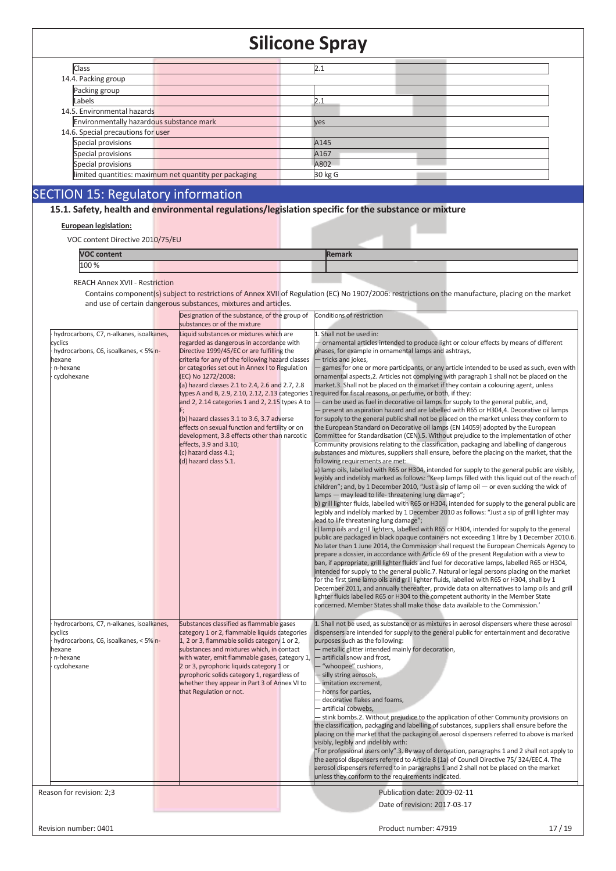| Class                                                  | 2.1              |
|--------------------------------------------------------|------------------|
| 14.4. Packing group                                    |                  |
| Packing group                                          |                  |
| Labels                                                 | 2.1              |
| 14.5. Environmental hazards                            |                  |
| Environmentally hazardous substance mark               | <b>ves</b>       |
| 14.6. Special precautions for user                     |                  |
| Special provisions                                     | A <sub>145</sub> |
| Special provisions                                     | A <sub>167</sub> |
| Special provisions                                     | A802             |
| limited quantities: maximum net quantity per packaging | 30 kg G          |
|                                                        |                  |

# SECTION 15: Regulatory information

**15.1. Safety, health and environmental regulations/legislation specific for the substance or mixture**

#### **European legislation:**

VOC content Directive 2010/75/EU

| <b>VOC content</b> | Remark |  |
|--------------------|--------|--|
| 100 %              |        |  |
|                    |        |  |

REACH Annex XVII - Restriction

Contains component(s) subject to restrictions of Annex XVII of Regulation (EC) No 1907/2006: restrictions on the manufacture, placing on the market and use of certain dangerous substances, mixtures and articles.

|                                          | Designation of the substance, of the group of Conditions of restriction |                                                                                                   |
|------------------------------------------|-------------------------------------------------------------------------|---------------------------------------------------------------------------------------------------|
|                                          | substances or of the mixture                                            |                                                                                                   |
| hydrocarbons, C7, n-alkanes, isoalkanes, | Liquid substances or mixtures which are                                 | 1. Shall not be used in:                                                                          |
| cyclics                                  | regarded as dangerous in accordance with                                | - ornamental articles intended to produce light or colour effects by means of different           |
| hydrocarbons, C6, isoalkanes, < 5% n-    | Directive 1999/45/EC or are fulfilling the                              | phases, for example in ornamental lamps and ashtrays,                                             |
| exane                                    | criteria for any of the following hazard classes                        | - tricks and jokes,                                                                               |
| n-hexane                                 | or categories set out in Annex I to Regulation                          | - games for one or more participants, or any article intended to be used as such, even with       |
| cyclohexane                              | (EC) No 1272/2008:                                                      | ornamental aspects, 2. Articles not complying with paragraph 1 shall not be placed on the         |
|                                          | (a) hazard classes 2.1 to 2.4, 2.6 and 2.7, 2.8                         | market.3. Shall not be placed on the market if they contain a colouring agent, unless             |
|                                          | types A and B, 2.9, 2.10, 2.12, 2.13 categories 1                       | required for fiscal reasons, or perfume, or both, if they:                                        |
|                                          | and 2, 2.14 categories 1 and 2, 2.15 types A to                         | - can be used as fuel in decorative oil lamps for supply to the general public, and,              |
|                                          |                                                                         | - present an aspiration hazard and are labelled with R65 or H304,4. Decorative oil lamps          |
|                                          | (b) hazard classes 3.1 to 3.6, 3.7 adverse                              | for supply to the general public shall not be placed on the market unless they conform to         |
|                                          | effects on sexual function and fertility or on                          | the European Standard on Decorative oil lamps (EN 14059) adopted by the European                  |
|                                          | development, 3.8 effects other than narcotic                            | Committee for Standardisation (CEN).5. Without prejudice to the implementation of other           |
|                                          | effects, 3.9 and 3.10;                                                  | Community provisions relating to the classification, packaging and labelling of dangerous         |
|                                          | (c) hazard class 4.1;                                                   | substances and mixtures, suppliers shall ensure, before the placing on the market, that the       |
|                                          | (d) hazard class 5.1.                                                   | following requirements are met:                                                                   |
|                                          |                                                                         | a) lamp oils, labelled with R65 or H304, intended for supply to the general public are visibly,   |
|                                          |                                                                         | legibly and indelibly marked as follows: "Keep lamps filled with this liquid out of the reach of  |
|                                          |                                                                         | children"; and, by 1 December 2010, "Just a sip of lamp oil $-$ or even sucking the wick of       |
|                                          |                                                                         | lamps - may lead to life-threatening lung damage";                                                |
|                                          |                                                                         | b) grill lighter fluids, labelled with R65 or H304, intended for supply to the general public are |
|                                          |                                                                         | legibly and indelibly marked by 1 December 2010 as follows: "Just a sip of grill lighter may      |
|                                          |                                                                         | lead to life threatening lung damage";                                                            |
|                                          |                                                                         | c) lamp oils and grill lighters, labelled with R65 or H304, intended for supply to the general    |
|                                          |                                                                         | public are packaged in black opaque containers not exceeding 1 litre by 1 December 2010.6.        |
|                                          |                                                                         | No later than 1 June 2014, the Commission shall request the European Chemicals Agency to          |
|                                          |                                                                         | prepare a dossier, in accordance with Article 69 of the present Regulation with a view to         |
|                                          |                                                                         | ban, if appropriate, grill lighter fluids and fuel for decorative lamps, labelled R65 or H304,    |
|                                          |                                                                         | intended for supply to the general public.7. Natural or legal persons placing on the market       |
|                                          |                                                                         | for the first time lamp oils and grill lighter fluids, labelled with R65 or H304, shall by 1      |
|                                          |                                                                         |                                                                                                   |
|                                          |                                                                         | December 2011, and annually thereafter, provide data on alternatives to lamp oils and grill       |
|                                          |                                                                         | lighter fluids labelled R65 or H304 to the competent authority in the Member State                |
|                                          |                                                                         | concerned. Member States shall make those data available to the Commission.'                      |
|                                          |                                                                         |                                                                                                   |
| hydrocarbons, C7, n-alkanes, isoalkanes, | Substances classified as flammable gases                                | 1. Shall not be used, as substance or as mixtures in aerosol dispensers where these aerosol       |
| :vclics                                  | category 1 or 2, flammable liquids categories                           | dispensers are intended for supply to the general public for entertainment and decorative         |
| hydrocarbons, C6, isoalkanes, < 5% n-    | 1, 2 or 3, flammable solids category 1 or 2,                            | purposes such as the following:                                                                   |
| hexane                                   | substances and mixtures which, in contact                               | - metallic glitter intended mainly for decoration,                                                |
| n-hexane                                 | with water, emit flammable gases, category 1,                           | - artificial snow and frost,                                                                      |
| cyclohexane                              | 2 or 3, pyrophoric liquids category 1 or                                | - "whoopee" cushions,                                                                             |
|                                          | pyrophoric solids category 1, regardless of                             | - silly string aerosols,                                                                          |
|                                          | whether they appear in Part 3 of Annex VI to                            | - imitation excrement,                                                                            |
|                                          | that Regulation or not.                                                 | - horns for parties,                                                                              |
|                                          |                                                                         | - decorative flakes and foams,                                                                    |
|                                          |                                                                         | - artificial cobwebs,                                                                             |
|                                          |                                                                         | - stink bombs.2. Without prejudice to the application of other Community provisions on            |
|                                          |                                                                         | the classification, packaging and labelling of substances, suppliers shall ensure before the      |
|                                          |                                                                         | placing on the market that the packaging of aerosol dispensers referred to above is marked        |
|                                          |                                                                         | visibly, legibly and indelibly with:                                                              |
|                                          |                                                                         |                                                                                                   |
|                                          |                                                                         | 'For professional users only".3. By way of derogation, paragraphs 1 and 2 shall not apply to      |
|                                          |                                                                         | the aerosol dispensers referred to Article 8 (1a) of Council Directive 75/324/EEC.4. The          |
|                                          |                                                                         | aerosol dispensers referred to in paragraphs 1 and 2 shall not be placed on the market            |
|                                          |                                                                         | unless they conform to the requirements indicated.                                                |
| Reason for revision: 2;3                 |                                                                         | Publication date: 2009-02-11                                                                      |
|                                          |                                                                         |                                                                                                   |
|                                          |                                                                         | Date of revision: 2017-03-17                                                                      |
|                                          |                                                                         |                                                                                                   |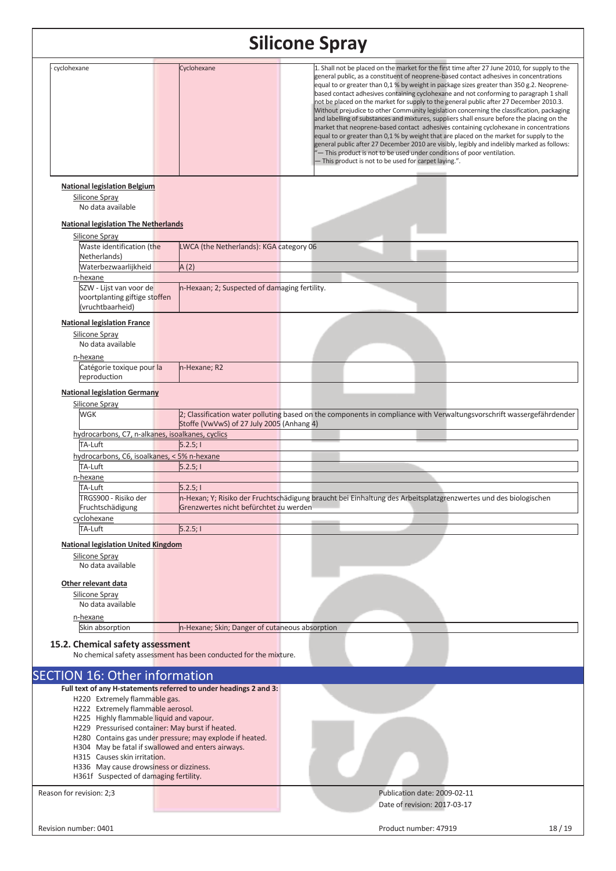| cyclohexane                                                                                           | Cyclohexane                                                                                                    | 1. Shall not be placed on the market for the first time after 27 June 2010, for supply to the<br>general public, as a constituent of neoprene-based contact adhesives in concentrations<br>equal to or greater than 0,1 % by weight in package sizes greater than 350 g.2. Neoprene-<br>based contact adhesives containing cyclohexane and not conforming to paragraph 1 shall<br>not be placed on the market for supply to the general public after 27 December 2010.3.<br>Without prejudice to other Community legislation concerning the classification, packaging<br>and labelling of substances and mixtures, suppliers shall ensure before the placing on the<br>market that neoprene-based contact adhesives containing cyclohexane in concentrations<br>equal to or greater than 0,1 % by weight that are placed on the market for supply to the<br>general public after 27 December 2010 are visibly, legibly and indelibly marked as follows:<br>"- This product is not to be used under conditions of poor ventilation.<br>- This product is not to be used for carpet laying.". |       |  |  |
|-------------------------------------------------------------------------------------------------------|----------------------------------------------------------------------------------------------------------------|---------------------------------------------------------------------------------------------------------------------------------------------------------------------------------------------------------------------------------------------------------------------------------------------------------------------------------------------------------------------------------------------------------------------------------------------------------------------------------------------------------------------------------------------------------------------------------------------------------------------------------------------------------------------------------------------------------------------------------------------------------------------------------------------------------------------------------------------------------------------------------------------------------------------------------------------------------------------------------------------------------------------------------------------------------------------------------------------|-------|--|--|
| <b>National legislation Belgium</b>                                                                   |                                                                                                                |                                                                                                                                                                                                                                                                                                                                                                                                                                                                                                                                                                                                                                                                                                                                                                                                                                                                                                                                                                                                                                                                                             |       |  |  |
| Silicone Spray<br>No data available                                                                   |                                                                                                                |                                                                                                                                                                                                                                                                                                                                                                                                                                                                                                                                                                                                                                                                                                                                                                                                                                                                                                                                                                                                                                                                                             |       |  |  |
| <b>National legislation The Netherlands</b>                                                           |                                                                                                                |                                                                                                                                                                                                                                                                                                                                                                                                                                                                                                                                                                                                                                                                                                                                                                                                                                                                                                                                                                                                                                                                                             |       |  |  |
| Silicone Spray                                                                                        |                                                                                                                |                                                                                                                                                                                                                                                                                                                                                                                                                                                                                                                                                                                                                                                                                                                                                                                                                                                                                                                                                                                                                                                                                             |       |  |  |
| Waste identification (the<br>Netherlands)                                                             | LWCA (the Netherlands): KGA category 06                                                                        |                                                                                                                                                                                                                                                                                                                                                                                                                                                                                                                                                                                                                                                                                                                                                                                                                                                                                                                                                                                                                                                                                             |       |  |  |
| Waterbezwaarlijkheid                                                                                  | A(2)                                                                                                           |                                                                                                                                                                                                                                                                                                                                                                                                                                                                                                                                                                                                                                                                                                                                                                                                                                                                                                                                                                                                                                                                                             |       |  |  |
| n-hexane                                                                                              |                                                                                                                |                                                                                                                                                                                                                                                                                                                                                                                                                                                                                                                                                                                                                                                                                                                                                                                                                                                                                                                                                                                                                                                                                             |       |  |  |
| SZW - Lijst van voor de<br>voortplanting giftige stoffen<br>(vruchtbaarheid)                          | n-Hexaan; 2; Suspected of damaging fertility.                                                                  |                                                                                                                                                                                                                                                                                                                                                                                                                                                                                                                                                                                                                                                                                                                                                                                                                                                                                                                                                                                                                                                                                             |       |  |  |
| <b>National legislation France</b><br>Silicone Spray<br>No data available                             |                                                                                                                |                                                                                                                                                                                                                                                                                                                                                                                                                                                                                                                                                                                                                                                                                                                                                                                                                                                                                                                                                                                                                                                                                             |       |  |  |
| n-hexane<br>Catégorie toxique pour la<br>reproduction                                                 | n-Hexane; R2                                                                                                   |                                                                                                                                                                                                                                                                                                                                                                                                                                                                                                                                                                                                                                                                                                                                                                                                                                                                                                                                                                                                                                                                                             |       |  |  |
| <b>National legislation Germany</b>                                                                   |                                                                                                                |                                                                                                                                                                                                                                                                                                                                                                                                                                                                                                                                                                                                                                                                                                                                                                                                                                                                                                                                                                                                                                                                                             |       |  |  |
| Silicone Spray                                                                                        |                                                                                                                |                                                                                                                                                                                                                                                                                                                                                                                                                                                                                                                                                                                                                                                                                                                                                                                                                                                                                                                                                                                                                                                                                             |       |  |  |
| <b>WGK</b>                                                                                            | Stoffe (VwVwS) of 27 July 2005 (Anhang 4)                                                                      | 2; Classification water polluting based on the components in compliance with Verwaltungsvorschrift wassergefährdender                                                                                                                                                                                                                                                                                                                                                                                                                                                                                                                                                                                                                                                                                                                                                                                                                                                                                                                                                                       |       |  |  |
| hydrocarbons, C7, n-alkanes, isoalkanes, cyclics                                                      |                                                                                                                |                                                                                                                                                                                                                                                                                                                                                                                                                                                                                                                                                                                                                                                                                                                                                                                                                                                                                                                                                                                                                                                                                             |       |  |  |
| TA-Luft<br>hydrocarbons, C6, isoalkanes, < 5% n-hexane                                                | 5.2.5;1                                                                                                        |                                                                                                                                                                                                                                                                                                                                                                                                                                                                                                                                                                                                                                                                                                                                                                                                                                                                                                                                                                                                                                                                                             |       |  |  |
| TA-Luft                                                                                               | 5.2.5;                                                                                                         |                                                                                                                                                                                                                                                                                                                                                                                                                                                                                                                                                                                                                                                                                                                                                                                                                                                                                                                                                                                                                                                                                             |       |  |  |
| n-hexane                                                                                              |                                                                                                                |                                                                                                                                                                                                                                                                                                                                                                                                                                                                                                                                                                                                                                                                                                                                                                                                                                                                                                                                                                                                                                                                                             |       |  |  |
| TA-Luft                                                                                               | 5.2.5;                                                                                                         |                                                                                                                                                                                                                                                                                                                                                                                                                                                                                                                                                                                                                                                                                                                                                                                                                                                                                                                                                                                                                                                                                             |       |  |  |
| TRGS900 - Risiko der<br>Fruchtschädigung                                                              | Grenzwertes nicht befürchtet zu werden                                                                         | n-Hexan; Y; Risiko der Fruchtschädigung braucht bei Einhaltung des Arbeitsplatzgrenzwertes und des biologischen                                                                                                                                                                                                                                                                                                                                                                                                                                                                                                                                                                                                                                                                                                                                                                                                                                                                                                                                                                             |       |  |  |
| cyclohexane                                                                                           |                                                                                                                |                                                                                                                                                                                                                                                                                                                                                                                                                                                                                                                                                                                                                                                                                                                                                                                                                                                                                                                                                                                                                                                                                             |       |  |  |
| TA-Luft                                                                                               | $\overline{5.2.5}$ ; I                                                                                         |                                                                                                                                                                                                                                                                                                                                                                                                                                                                                                                                                                                                                                                                                                                                                                                                                                                                                                                                                                                                                                                                                             |       |  |  |
| <b>National legislation United Kingdom</b>                                                            |                                                                                                                |                                                                                                                                                                                                                                                                                                                                                                                                                                                                                                                                                                                                                                                                                                                                                                                                                                                                                                                                                                                                                                                                                             |       |  |  |
| Silicone Spray<br>No data available                                                                   |                                                                                                                |                                                                                                                                                                                                                                                                                                                                                                                                                                                                                                                                                                                                                                                                                                                                                                                                                                                                                                                                                                                                                                                                                             |       |  |  |
| Other relevant data                                                                                   |                                                                                                                |                                                                                                                                                                                                                                                                                                                                                                                                                                                                                                                                                                                                                                                                                                                                                                                                                                                                                                                                                                                                                                                                                             |       |  |  |
| Silicone Spray<br>No data available                                                                   |                                                                                                                |                                                                                                                                                                                                                                                                                                                                                                                                                                                                                                                                                                                                                                                                                                                                                                                                                                                                                                                                                                                                                                                                                             |       |  |  |
| n-hexane                                                                                              |                                                                                                                |                                                                                                                                                                                                                                                                                                                                                                                                                                                                                                                                                                                                                                                                                                                                                                                                                                                                                                                                                                                                                                                                                             |       |  |  |
| Skin absorption                                                                                       | n-Hexane; Skin; Danger of cutaneous absorption                                                                 |                                                                                                                                                                                                                                                                                                                                                                                                                                                                                                                                                                                                                                                                                                                                                                                                                                                                                                                                                                                                                                                                                             |       |  |  |
| 15.2. Chemical safety assessment<br>No chemical safety assessment has been conducted for the mixture. |                                                                                                                |                                                                                                                                                                                                                                                                                                                                                                                                                                                                                                                                                                                                                                                                                                                                                                                                                                                                                                                                                                                                                                                                                             |       |  |  |
| <b>SECTION 16: Other information</b>                                                                  |                                                                                                                |                                                                                                                                                                                                                                                                                                                                                                                                                                                                                                                                                                                                                                                                                                                                                                                                                                                                                                                                                                                                                                                                                             |       |  |  |
|                                                                                                       | Full text of any H-statements referred to under headings 2 and 3:                                              |                                                                                                                                                                                                                                                                                                                                                                                                                                                                                                                                                                                                                                                                                                                                                                                                                                                                                                                                                                                                                                                                                             |       |  |  |
| H220 Extremely flammable gas.                                                                         |                                                                                                                |                                                                                                                                                                                                                                                                                                                                                                                                                                                                                                                                                                                                                                                                                                                                                                                                                                                                                                                                                                                                                                                                                             |       |  |  |
| H222 Extremely flammable aerosol.<br>H225 Highly flammable liquid and vapour.                         |                                                                                                                |                                                                                                                                                                                                                                                                                                                                                                                                                                                                                                                                                                                                                                                                                                                                                                                                                                                                                                                                                                                                                                                                                             |       |  |  |
|                                                                                                       | H229 Pressurised container: May burst if heated.                                                               |                                                                                                                                                                                                                                                                                                                                                                                                                                                                                                                                                                                                                                                                                                                                                                                                                                                                                                                                                                                                                                                                                             |       |  |  |
|                                                                                                       | H280 Contains gas under pressure; may explode if heated.<br>H304 May be fatal if swallowed and enters airways. |                                                                                                                                                                                                                                                                                                                                                                                                                                                                                                                                                                                                                                                                                                                                                                                                                                                                                                                                                                                                                                                                                             |       |  |  |
| H315 Causes skin irritation.                                                                          |                                                                                                                |                                                                                                                                                                                                                                                                                                                                                                                                                                                                                                                                                                                                                                                                                                                                                                                                                                                                                                                                                                                                                                                                                             |       |  |  |
| H336 May cause drowsiness or dizziness.<br>H361f Suspected of damaging fertility.                     |                                                                                                                |                                                                                                                                                                                                                                                                                                                                                                                                                                                                                                                                                                                                                                                                                                                                                                                                                                                                                                                                                                                                                                                                                             |       |  |  |
|                                                                                                       |                                                                                                                | Publication date: 2009-02-11                                                                                                                                                                                                                                                                                                                                                                                                                                                                                                                                                                                                                                                                                                                                                                                                                                                                                                                                                                                                                                                                |       |  |  |
| Reason for revision: 2;3                                                                              |                                                                                                                | Date of revision: 2017-03-17                                                                                                                                                                                                                                                                                                                                                                                                                                                                                                                                                                                                                                                                                                                                                                                                                                                                                                                                                                                                                                                                |       |  |  |
|                                                                                                       |                                                                                                                |                                                                                                                                                                                                                                                                                                                                                                                                                                                                                                                                                                                                                                                                                                                                                                                                                                                                                                                                                                                                                                                                                             |       |  |  |
| Revision number: 0401                                                                                 |                                                                                                                | Product number: 47919                                                                                                                                                                                                                                                                                                                                                                                                                                                                                                                                                                                                                                                                                                                                                                                                                                                                                                                                                                                                                                                                       | 18/19 |  |  |